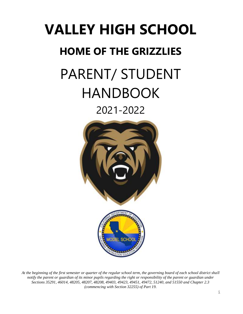# **VALLEY HIGH SCHOOL HOME OF THE GRIZZLIES** PARENT/ STUDENT HANDBOOK

# 2021-2022



*At the beginning of the first semester or quarter of the regular school term, the governing board of each school district shall notify the parent or guardian of its minor pupils regarding the right or responsibility of the parent or guardian under Sections 35291, 46014, 48205, 48207, 48208, 49403, 49423, 49451, 49472, 51240, and 51550 and Chapter 2.3 (commencing with Section 32255) of Part 19.*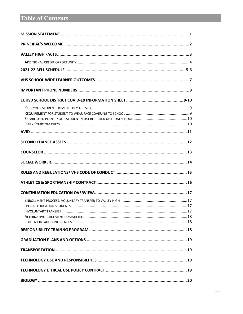# **Table of Contents**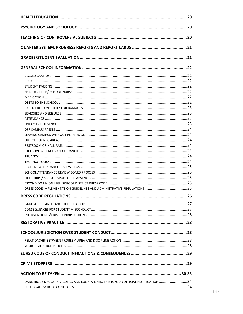| DANGEROUS DRUGS, NARCOTICS AND LOOK-A-LIKES: THIS IS YOUR OFFICIAL NOTIFICATION 34 |  |
|------------------------------------------------------------------------------------|--|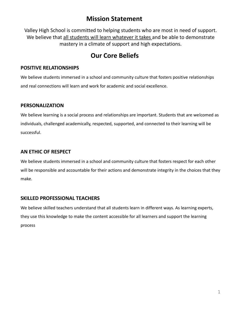### **Mission Statement**

Valley High School is committed to helping students who are most in need of support. We believe that all students will learn whatever it takes and be able to demonstrate mastery in a climate of support and high expectations.

### **Our Core Beliefs**

#### **POSITIVE RELATIONSHIPS**

We believe students immersed in a school and community culture that fosters positive relationships and real connections will learn and work for academic and social excellence.

#### **PERSONALIZATION**

We believe learning is a social process and relationships are important. Students that are welcomed as individuals, challenged academically, respected, supported, and connected to their learning will be successful.

#### **AN ETHIC OF RESPECT**

We believe students immersed in a school and community culture that fosters respect for each other will be responsible and accountable for their actions and demonstrate integrity in the choices that they make.

#### **SKILLED PROFESSIONAL TEACHERS**

We believe skilled teachers understand that all students learn in different ways. As learning experts, they use this knowledge to make the content accessible for all learners and support the learning process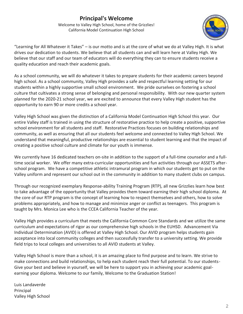### **Principal's Welcome**

Welcome to Valley High School, home of the Grizzlies! California Model Continuation High School



"Learning for All Whatever it Takes" – is our motto and is at the core of what we do at Valley High. It is what drives our dedication to students. We believe that all students can and will learn here at Valley High. We believe that our staff and our team of educators will do everything they can to ensure students receive a quality education and reach their academic goals.

As a school community, we will do whatever it takes to prepare students for their academic careers beyond high school. As a school community, Valley High provides a safe and respectful learning setting for our students within a highly supportive small school environment. We pride ourselves on fostering a school culture that cultivates a strong sense of belonging and personal responsibility. With our new quarter system planned for the 2020-21 school year, we are excited to announce that every Valley High student has the opportunity to earn 90 or more credits a school year.

Valley High School was given the distinction of a California Model Continuation High School this year. Our entire Valley staff is trained in using the structure of restorative practice to help create a positive, supportive school environment for all students and staff. Restorative Practices focuses on building relationships and community, as well as ensuring that all our students feel welcome and connected to Valley High School. We understand that meaningful, productive relationships are essential to student learning and that the impact of creating a positive school culture and climate for our youth is immense.

We currently have 16 dedicated teachers on-site in addition to the support of a full-time counselor and a fulltime social worker. We offer many extra-curricular opportunities and fun activities through our ASSETS afterschool program. We have a competitive athletic intramural program in which our students get to put on the Valley uniform and represent our school out in the community in addition to many student clubs on campus.

Through our recognized exemplary Response-ability Training Program (RTP), all new Grizzlies learn how best to take advantage of the opportunity that Valley provides them toward earning their high school diploma. At the core of our RTP program is the concept of learning how to respect themselves and others, how to solve problems appropriately, and how to manage and minimize anger or conflict as teenagers. This program is taught by Mrs. Monica Lee who is the CCEA California Teacher of the year.

Valley High provides a curriculum that meets the California Common Core Standards and we utilize the same curriculum and expectations of rigor as our comprehensive high schools in the EUHSD. Advancement Via Individual Determination (AVID) is offered at Valley High School. Our AVID program helps students gain acceptance into local community colleges and then successfully transfer to a university setting. We provide field trips to local colleges and universities to all AVID students at Valley.

Valley High School is more than a school, it is an amazing place to find purpose and to learn. We strive to make connections and build relationships, to help each student reach their full potential. To our students-Give your best and believe in yourself, we will be here to support you in achieving your academic goalearning your diploma. Welcome to our family, Welcome to the Graduation Station!

Luis Landaverde Principal Valley High School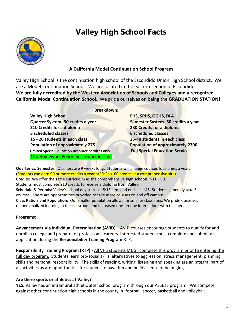# **Valley High School Facts**



#### **A California Model Continuation School Program**

Valley High School is the continuation high school of the Escondido Union High School district. We are a Model Continuation School. We are located in the eastern section of Escondido. **We are fully accredited by the Western Association of Schools and Colleges and a recognized California Model Continuation School.** We pride ourselves on being the **GRADUATION STATION**!

#### **Breakdown:**

**Valley High School EHS, SPHS, OGHS, DLA Quarter System- 90 credits a year Semester System- 60 credits a year 210 Credits for a diploma 230 Credits for a diploma 5 scheduled classes 6 scheduled classes 15 - 20 students in each class 35-40 students in each class Population of approximately 275 Population of approximately 2300 Limited Special Education Resource Services only Full Special Education Services** \*No Homework Policy- finish work in class

**Quarter vs. Semester:** Quarters are 9 weeks long. Students will change courses four times a year. (Students can earn 90 or more credits a year at VHS vs. 60 credits at a comprehensive site) **Credits:** We offer the same curriculum as the comprehensive high schools in EUHSD. Students must complete 210 credits to receive a diploma from Valley. **Schedule & Periods:** Valley's school day starts at 8:15 a.m. and ends at 1:45. Students generally take 5 courses. There are opportunities provided to take more courses on and off campus. **Class Ratio's and Population:** Our smaller population allows for smaller class sizes. We pride ourselves on personalized learning in the classroom and increased one-on-one interactions with teachers.

#### **Programs:**

**Advancement Via Individual Determination (AVID)** – AVID courses encourage students to qualify for and enroll in college and prepare for professional careers. Interested student must complete and submit an application during the **Responsibility Training Program** RTP.

**Responsibility Training Program (RTP) -** All VHS students MUST complete this program prior to entering the full day program. Students learn pro-social skills, alternatives to aggression, stress management, planning skills and personal responsibility. The skills of reading, writing, listening and speaking are an integral part of all activities as are opportunities for student to have fun and build a sense of belonging.

#### **Are there sports or athletics at Valley?**

**YES:** Valley has an intramural athletic after school program through our ASSETS program. We compete against other continuation high schools in the county in: football, soccer, basketball and volleyball.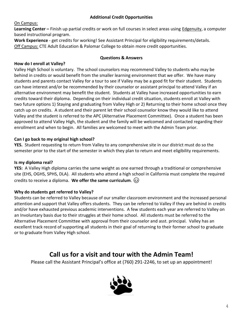#### **Additional Credit Opportunities**

#### On Campus:

**Learning Center –** Finish up partial credits or work on full courses in select areas using Edgenuity, a computer based instructional program.

**Work Experience** - get credits for working! See Assistant Principal for eligibility requirements/details. Off Campus: CTE Adult Education & Palomar College to obtain more credit opportunities.

#### **Questions & Answers**

#### **How do I enroll at Valley?**

Valley High School is voluntary. The school counselors may recommend Valley to students who may be behind in credits or would benefit from the smaller learning environment that we offer. We have many students and parents contact Valley for a tour to see if Valley may be a good fit for their student. Students can have interest and/or be recommended by their counselor or assistant principal to attend Valley if an alternative environment may benefit the student. Students at Valley have increased opportunities to earn credits toward their diploma. Depending on their individual credit situation, students enroll at Valley with two future options 1) Staying and graduating from Valley High or 2) Returning to their home school once they catch up on credits. A student and their parent let their school counselor know they would like to attend Valley and the student is referred to the APC (Alternative Placement Committee). Once a student has been approved to attend Valley High, the student and the family will be welcomed and contacted regarding their enrollment and when to begin. All families are welcomed to meet with the Admin Team prior.

#### **Can I go back to my original high school?**

**YES.** Student requesting to return from Valley to any comprehensive site in our district must do so the semester prior to the start of the semester in which they plan to return and meet eligibility requirements.

#### **Is my diploma real?**

**YES:** A Valley High diploma carries the same weight as one earned through a traditional or comprehensive site (EHS, OGHS, SPHS, DLA). All students who attend a high school in California must complete the required credits to receive a diploma. **We offer the same curriculum**.

#### **Why do students get referred to Valley?**

Students can be referred to Valley because of our smaller classroom environment and the increased personal attention and support that Valley offers students. They can be referred to Valley if they are behind in credits and/or have exhausted previous academic interventions. A few students each year are referred to Valley on an Involuntary basis due to their struggles at their home school. All students must be referred to the Alternative Placement Committee with approval from their counselor and asst. principal. Valley has an excellent track record of supporting all students in their goal of returning to their former school to graduate or to graduate from Valley High school.

### **Call us for a visit and tour with the Admin Team!**

Please call the Assistant Principal's office at (760) 291-2246, to set up an appointment!

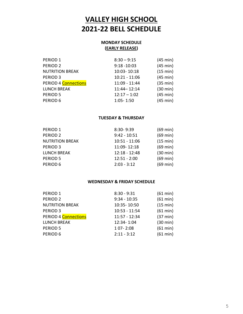# **VALLEY HIGH SCHOOL 2021-22 BELL SCHEDULE**

#### **MONDAY SCHEDULE (EARLY RELEASE)**

| PERIOD <sub>1</sub>    | $8:30 - 9:15$   | $(45 \text{ min})$ |
|------------------------|-----------------|--------------------|
| PERIOD <sub>2</sub>    | $9:18 - 10:03$  | $(45 \text{ min})$ |
| <b>NUTRITION BREAK</b> | 10:03-10:18     | (15 min)           |
| PERIOD <sub>3</sub>    | $10:21 - 11:06$ | $(45 \text{ min})$ |
| PERIOD 4 Connections   | 11:09 - 11:44   | (35 min)           |
| <b>LUNCH BREAK</b>     | $11:44 - 12:14$ | $(30 \text{ min})$ |
| <b>PERIOD 5</b>        | $12:17 - 1:02$  | (45 min)           |
| PERIOD 6               | $1:05 - 1:50$   | $(45 \text{ min})$ |
|                        |                 |                    |

#### **TUESDAY & THURSDAY**

| PERIOD 1               | 8:30-9:39       | $(69 \text{ min})$ |
|------------------------|-----------------|--------------------|
| PERIOD <sub>2</sub>    | $9:42 - 10:51$  | $(69 \text{ min})$ |
| <b>NUTRITION BREAK</b> | $10:51 - 11:06$ | (15 min)           |
| PERIOD <sub>3</sub>    | 11:09-12:18     | $(69 \text{ min})$ |
| <b>LUNCH BREAK</b>     | $12:18 - 12:48$ | (30 min)           |
| PERIOD 5               | $12:51 - 2:00$  | $(69 \text{ min})$ |
| PERIOD 6               | $2:03 - 3:12$   | $(69 \text{ min})$ |
|                        |                 |                    |

#### **WEDNESDAY & FRIDAY SCHEDULE**

| PERIOD <sub>1</sub>    | $8:30 - 9:31$   | (61 min)           |
|------------------------|-----------------|--------------------|
| PERIOD <sub>2</sub>    | $9:34 - 10:35$  | (61 min)           |
| <b>NUTRITION BREAK</b> | 10:35-10:50     | (15 min)           |
| PERIOD <sub>3</sub>    | $10:53 - 11:54$ | (61 min)           |
| PERIOD 4 Connections   | $11:57 - 12:34$ | $(37 \text{ min})$ |
| <b>LUNCH BREAK</b>     | 12:34-1:04      | $(30 \text{ min})$ |
| PERIOD <sub>5</sub>    | 1 07-2:08       | (61 min)           |
| PERIOD 6               | $2:11 - 3:12$   | (61 min)           |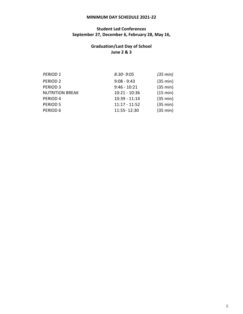#### **MINIMUM DAY SCHEDULE 2021-22**

#### **Student Led Conferences September 27, December 6, February 28, May 16,**

#### **Graduation/Last Day of School June 2 & 3**

| $8:30 - 9:05$   | (35 min) |
|-----------------|----------|
| $9:08 - 9:43$   | (35 min) |
| $9:46 - 10:21$  | (35 min) |
| $10:21 - 10:36$ | (15 min) |
| $10:39 - 11:14$ | (35 min) |
| $11:17 - 11:52$ | (35 min) |
| 11:55-12:30     | (35 min) |
|                 |          |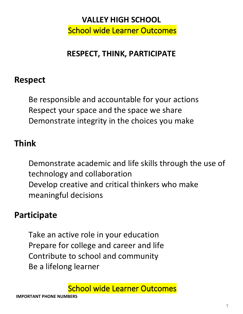# **VALLEY HIGH SCHOOL** School wide Learner Outcomes

# **RESPECT, THINK, PARTICIPATE**

# **Respect**

Be responsible and accountable for your actions Respect your space and the space we share Demonstrate integrity in the choices you make

# **Think**

Demonstrate academic and life skills through the use of technology and collaboration Develop creative and critical thinkers who make meaningful decisions

# **Participate**

Take an active role in your education Prepare for college and career and life Contribute to school and community Be a lifelong learner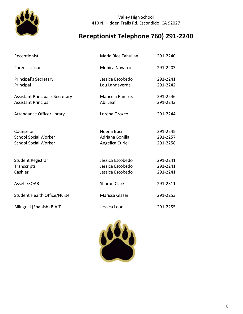

#### Valley High School 410 N. Hidden Trails Rd. Escondido, CA 92027

# **Receptionist Telephone 760) 291-2240**

| Receptionist                                                            | Maria Rios Tahuilan                                      | 291-2240                         |
|-------------------------------------------------------------------------|----------------------------------------------------------|----------------------------------|
| Parent Liaison                                                          | Monica Navarro                                           | 291-2203                         |
| Principal's Secretary<br>Principal                                      | Jessica Escobedo<br>Lou Landaverde                       | 291-2241<br>291-2242             |
| <b>Assistant Principal's Secretary</b><br><b>Assistant Principal</b>    | Maricela Ramirez<br>Abi Leaf                             | 291-2246<br>291-2243             |
| Attendance Office/Library                                               | Lorena Orozco                                            | 291-2244                         |
| Counselor<br><b>School Social Worker</b><br><b>School Social Worker</b> | Noemi Iraci<br>Adriana Bonilla<br>Angelica Curiel        | 291-2245<br>291-2257<br>291-2258 |
| Student Registrar<br>Transcripts<br>Cashier                             | Jessica Escobedo<br>Jessica Escobedo<br>Jessica Escobedo | 291-2241<br>291-2241<br>291-2241 |
| Assets/SOAR                                                             | <b>Sharon Clark</b>                                      | 291-2311                         |
| <b>Student Health Office/Nurse</b>                                      | Marissa Glaser                                           | 291-2253                         |
| Bilingual (Spanish) B.A.T.                                              | Jessica Leon                                             | 291-2255                         |

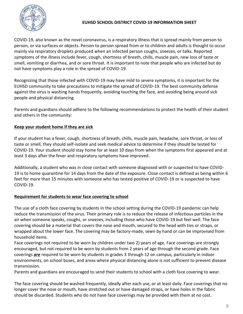

#### **EUHSD SCHOOL DISTRICT COVID-19 INFORMATION SHEET**

COVID-19, also known as the novel coronavirus, is a respiratory illness that is spread mainly from person to person, or via surfaces or objects. Person to person spread from or to children and adults is thought to occur mainly via respiratory droplets produced when an infected person coughs, sneezes, or talks. Reported symptoms of the illness include fever, cough, shortness of breath, chills, muscle pain, new loss of taste or smell, vomiting or diarrhea, and or sore throat. It is important to note that people who are infected but do not have symptoms play a role in the spread of COVID-19.

Recognizing that those infected with COVID-19 may have mild to severe symptoms, it is important for the EUHSD community to take precautions to mitigate the spread of COVID-19. The best community defense against the virus is washing hands frequently, avoiding touching the face, and avoiding being around sick people and physical distancing.

Parents and guardians should adhere to the following recommendations to protect the health of their student and others in the community:

#### **Keep your student home if they are sick**

If your student has a fever, cough, shortness of breath, chills, muscle pain, headache, sore throat, or loss of taste or smell, they should self-isolate and seek medical advice to determine if they should be tested for COVID-19. Your student should stay home for at least 10 days from when the symptoms first appeared and at least 3 days after the fever and respiratory symptoms have improved.

Additionally, a student who was in close contact with someone diagnosed with or suspected to have COVID-19 is to home quarantine for 14 days from the date of the exposure. Close contact is defined as being within 6 feet for more than 15 minutes with someone who has tested positive of COVID-19 or is suspected to have COVID-19.

#### **Requirement for students to wear face covering to school**

The use of a cloth face covering by students in the school setting during the COVID-19 pandemic can help reduce the transmission of the virus. Their primary role is to reduce the release of infectious particles in the air when someone speaks, coughs, or sneezes, including those who have COVID-19 but feel well. The face covering should be a material that covers the nose and mouth, secured to the head with ties or straps, or wrapped about the lower face. The covering may be factory-made, sewn by hand or can be improvised from household items.

Face coverings not required to be worn by children under two 2) years of age. Face coverings are strongly encouraged, but not required to be worn by students from 2 years of age through the second grade. Face coverings *are* required to be worn by students in grades 3 through 12 on campus, particularly in indoor environments, on school buses, and areas where physical distancing alone is not sufficient to prevent disease transmission.

Parents and guardians are encouraged to send their students to school with a cloth face covering to wear.

The face covering should be washed frequently, ideally after each use, or at least daily. Face coverings that no longer cover the nose or mouth, have stretched out or have damaged straps, or have holes in the fabric should be discarded. Students who do not have face coverings may be provided with them at no cost.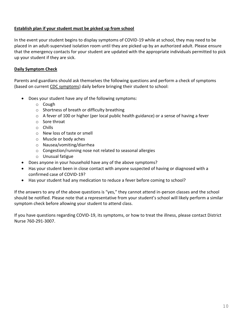#### **Establish plan if your student must be picked up from school**

In the event your student begins to display symptoms of COVID-19 while at school, they may need to be placed in an adult-supervised isolation room until they are picked up by an authorized adult. Please ensure that the emergency contacts for your student are updated with the appropriate individuals permitted to pick up your student if they are sick.

#### **Daily Symptom Check**

Parents and guardians should ask themselves the following questions and perform a check of symptoms (based on current [CDC symptoms\)](https://www.cdc.gov/coronavirus/2019-ncov/symptoms-testing/symptoms.html) daily before bringing their student to school:

- Does your student have any of the following symptoms:
	- o Cough
	- o Shortness of breath or difficulty breathing
	- $\circ$  A fever of 100 or higher (per local public health guidance) or a sense of having a fever
	- o Sore throat
	- o Chills
	- o New loss of taste or smell
	- o Muscle or body aches
	- o Nausea/vomiting/diarrhea
	- o Congestion/running nose not related to seasonal allergies
	- o Unusual fatigue
- Does anyone in your household have any of the above symptoms?
- Has your student been in close contact with anyone suspected of having or diagnosed with a confirmed case of COVID-19?
- Has your student had any medication to reduce a fever before coming to school?

If the answers to any of the above questions is "yes," they cannot attend in-person classes and the school should be notified. Please note that a representative from your student's school will likely perform a similar symptom check before allowing your student to attend class.

If you have questions regarding COVID-19, its symptoms, or how to treat the illness, please contact District Nurse 760-291-3007.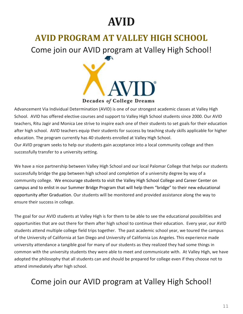# **AVID**

# **AVID PROGRAM AT VALLEY HIGH SCHOOL**

Come join our AVID program at Valley High School!



Advancement Via Individual Determination (AVID) is one of our strongest academic classes at Valley High School. AVID has offered elective courses and support to Valley High School students since 2000. Our AVID teachers, Ritu Jagir and Monica Lee strive to inspire each one of their students to set goals for their education after high school. AVID teachers equip their students for success by teaching study skills applicable for higher education. The program currently has 40 students enrolled at Valley High School. Our AVID program seeks to help our students gain acceptance into a local community college and then successfully transfer to a university setting.

We have a nice partnership between Valley High School and our local Palomar College that helps our students successfully bridge the gap between high school and completion of a university degree by way of a community college. We encourage students to visit the Valley High School College and Career Center on campus and to enlist in our Summer Bridge Program that will help them "bridge" to their new educational opportunity after Graduation. Our students will be monitored and provided assistance along the way to ensure their success in college.

The goal for our AVID students at Valley High is for them to be able to see the educational possibilities and opportunities that are out there for them after high school to continue their education. Every year, our AVID students attend multiple college field trips together. The past academic school year, we toured the campus of the University of California at San Diego and University of California Los Angeles. This experience made university attendance a tangible goal for many of our students as they realized they had some things in common with the university students they were able to meet and communicate with. At Valley High, we have adopted the philosophy that all students can and should be prepared for college even if they choose not to attend immediately after high school.

# Come join our AVID program at Valley High School!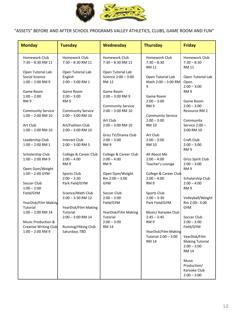

"ASSETS" BEFORE AND AFTER SCHOOL PROGRAMS VALLEY ATHLETICS, CLUBS, GAME ROOM AND FUN"

| <b>Monday</b>                                                             | <b>Tuesday</b>                                                   | <b>Wednesday</b>                                                      | <b>Thursday</b>                                                       | <b>Friday</b>                                                            |
|---------------------------------------------------------------------------|------------------------------------------------------------------|-----------------------------------------------------------------------|-----------------------------------------------------------------------|--------------------------------------------------------------------------|
| Homework Club<br>7:30 - 8:30 RM 11                                        | Homework Club<br>$7:30 - 8:30$ RM 11                             | Homework Club<br>$7:30 - 8:30$ RM 11                                  | Homework Club<br>$7:30 - 8:30$<br><b>RM 11</b>                        | Homework Club<br>$7:30 - 8:30$<br><b>RM 11</b>                           |
| Open Tutorial Lab<br>Social Science<br>$1:00 - 2:00$ RM 9<br>Game Room    | Open Tutorial Lab<br>English<br>$2:00 - 3:00$ RM 1<br>Game Room  | Open Tutorial Lab<br>Science 2:00 - 3:00<br><b>RM 12</b><br>Game Room | Open Tutorial Lab<br>Math 2:00 - 3:00 RM<br>9                         | Open Tutorial Lab<br>Open<br>$2:00 - 3:00$<br>RM <sub>9</sub>            |
| $1:00 - 2:00$<br>RM <sub>9</sub><br><b>Community Service</b>              | $2:00 - 3:00$<br>RM <sub>9</sub><br><b>Community Service</b>     | $2:00 - 3:00$ RM 9<br><b>Community Service</b><br>$2:00 - 3:00$ RM 10 | Game Room<br>$2:00 - 3:00$<br>RM <sub>9</sub>                         | Game Room<br>$2:00 - 3:00$<br>Resource RM 2                              |
| $1:00 - 2:00$ RM 10<br>Art Club<br>$1:00 - 2:00$ RM 10                    | $2:00 - 3:00$ RM 10<br>Art/Fashion Club<br>$2:00 - 3:00$ RM 10   | Art Club<br>$2:00 - 3:00$ RM 10<br>Grizz TV/Drama Club                | <b>Community Service</b><br>$2:00 - 3:00$<br><b>RM 10</b><br>Art Club | Community<br>Service 2:00 -<br>3:00 RM 10                                |
| Leadership Club<br>$1:00 - 2:00$ RM 1<br>Scholarship Club                 | Interact Club<br>$2:00 - 3:00$ RM 5<br>College & Career Club     | $2:00 - 3:00$<br>RM <sub>9</sub><br>College & Career Club             | $2:00 - 3:00$<br><b>RM 10</b><br>All About Me                         | Craft Club<br>$2:00 - 3:00$<br>RM <sub>9</sub>                           |
| $1:00 - 2:00$ RM 9<br>Open Gym/Weight<br>$1:00 - 2:00$ GYM                | $2:00 - 4:00$<br>RM <sub>9</sub>                                 | $2:00 - 4:00$<br>RM <sub>9</sub>                                      | $2:00 - 4:00$<br>Teacher's Lounge<br>College & Career Club            | Grizz Spirit Club<br>$2:00 - 3:00$<br>RM <sub>9</sub>                    |
| Soccer Club<br>$1:00 - 2:00$                                              | Sports Club<br>$2:00 - 3:30$<br>Park Field/GYM                   | Open Gym/Weight<br>Rm 2:00 - 3:00<br><b>GYM</b>                       | $2:00 - 4:00$<br>RM <sub>9</sub>                                      | Scholarship Club<br>$2:00 - 4:00$<br>RM <sub>9</sub>                     |
| Field/GYM<br>YearDisk/Film Making<br>Tutorial                             | Science/Math Club<br>$2:00 - 3:30$ RM 12<br>YearDisk/Film Making | Soccer Club<br>$2:00 - 3:00$<br>Field/GYM                             | Sports Club<br>$2:00 - 3:30$<br>Park Field/GYM                        | Volleyball/Weight<br>Rm 2:00-3:00<br><b>GYM</b>                          |
| $1:00 - 2:00$ RM 14<br>Music Production &<br><b>Creative Writing Club</b> | Tutorial<br>2:00 - 3:00 RM 14<br>Running/Hiking Club             | YearDisk/Film Making<br>Tutorial<br>$2:00 - 3:00$<br><b>RM 14</b>     | Music/ Karaoke Club<br>$2:45 - 3:45$<br>RM <sub>9</sub>               | Soccer Club<br>$2:00 - 3:00$<br>Field/GYM                                |
| $1:00 - 2:00$ RM 9                                                        | Saturdays TBD                                                    |                                                                       | YearDisk/Film Making<br>Tutorial 2:00 - 3:00<br><b>RM 14</b>          | YearDisk/Film<br><b>Making Tutorial</b><br>$2:00 - 3:00$<br><b>RM 14</b> |
|                                                                           |                                                                  |                                                                       |                                                                       | Music<br>Production/<br>Karaoke Club<br>$2:00 - 3:00$                    |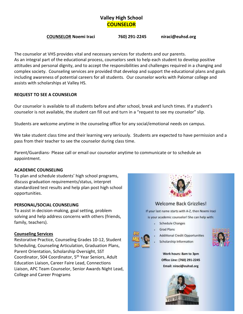### **Valley High School COUNSELOR**

#### **COUNSELOR Noemi Iraci 760) 291-2245 niraci@euhsd.org**

The counselor at VHS provides vital and necessary services for students and our parents. As an integral part of the educational process, counselors seek to help each student to develop positive attitudes and personal dignity, and to accept the responsibilities and challenges required in a changing and complex society. Counseling services are provided that develop and support the educational plans and goals including awareness of potential careers for all students. Our counselor works with Palomar college and assists with scholarships at Valley HS.

#### **REQUEST TO SEE A COUNSELOR**

Our counselor is available to all students before and after school, break and lunch times. If a student's counselor is not available, the student can fill out and turn in a "request to see my counselor" slip.

Students are welcome anytime in the counseling office for any social/emotional needs on campus.

We take student class time and their learning very seriously. Students are expected to have permission and a pass from their teacher to see the counselor during class time.

Parent/Guardians- Please call or email our counselor anytime to communicate or to schedule an appointment.

#### **ACADEMIC COUNSELING**

To plan and schedule students' high school programs, discuss graduation requirements/status, interpret standardized test results and help plan post high school opportunities.

#### **PERSONAL/SOCIAL COUNSELING**

To assist in decision-making, goal setting, problem solving and help address concerns with others (friends, family, teachers).

#### **Counseling Services**

Restorative Practice, Counseling Grades 10-12, Student Scheduling, Counseling Articulation, Graduation Plans, Parent Orientation, Scholarship Oversight, SST Coordinator, 504 Coordinator, 5<sup>th</sup> Year Seniors, Adult Education Liaison, Career Faire Lead, Connections Liaison, APC Team Counselor, Senior Awards Night Lead, College and Career Programs



#### **Welcome Back Grizzlies!**

If your last name starts with A-Z, then Noemi Iraci is your academic counselor! She can help with:

- Schedule Changes
- **Grad Plans**
- **Additional Credit Opportunities**





Work hours: 8am to 3pm Office Line: (760) 291-2245 Email: niraci@euhsd.org

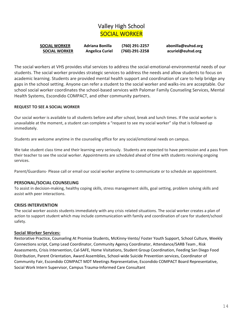### Valley High School SOCIAL WORKER

| <b>SOCIAL WORKER</b> | Adriana Bonilla        | (760) 291-2257       | abonilla@euhsd.org |
|----------------------|------------------------|----------------------|--------------------|
| <b>SOCIAL WORKER</b> | <b>Angelica Curiel</b> | $(760) - 291 - 2258$ | acuriel@euhsd.org  |

The social workers at VHS provides vital services to address the social-emotional-environmental needs of our students. The social worker provides strategic services to address the needs and allow students to focus on academic learning. Students are provided mental health support and coordination of care to help bridge any gaps in the school setting. Anyone can refer a student to the social worker and walks-ins are acceptable. Our school social worker coordinates the school-based services with Palomar Family Counseling Services, Mental Health Systems, Escondido COMPACT, and other community partners.

#### **REQUEST TO SEE A SOCIAL WORKER**

Our social worker is available to all students before and after school, break and lunch times. If the social worker is unavailable at the moment, a student can complete a "request to see my social worker" slip that is followed up immediately.

Students are welcome anytime in the counseling office for any social/emotional needs on campus.

We take student class time and their learning very seriously. Students are expected to have permission and a pass from their teacher to see the social worker. Appointments are scheduled ahead of time with students receiving ongoing services.

Parent/Guardians- Please call or email our social worker anytime to communicate or to schedule an appointment.

#### **PERSONAL/SOCIAL COUNSELING**

To assist in decision-making, healthy coping skills, stress management skills, goal setting, problem solving skills and assist with peer interactions.

#### **CRISIS INTERVENTION**

The social worker assists students immediately with any crisis related situations. The social worker creates a plan of action to support student which may include communication with family and coordination of care for student/school safety.

#### **Social Worker Services:**

Restorative Practice, Counseling At Promise Students, McKinny-Vento/ Foster Youth Support, School Culture, Weekly Connections script, Camp Lead Coordinator, Community Agency Coordinator, Attendance/SARB Team , Risk Assessments, Crisis Intervention, Cal-SAFE, Home Visitations, Student Group Coordination, Feeding San Diego Food Distribution, Parent Orientation, Award Assemblies, School-wide Suicide Prevention services, Coordinator of Community Fair, Escondido COMPACT MDT Meetings Representative, Escondido COMPACT Board Representative, Social Work Intern Supervisor, Campus Trauma-Informed Care Consultant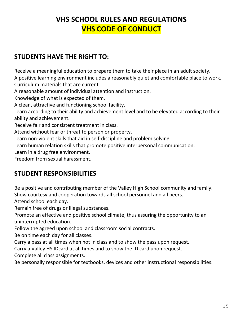# **VHS SCHOOL RULES AND REGULATIONS VHS CODE OF CONDUCT**

### **STUDENTS HAVE THE RIGHT TO:**

Receive a meaningful education to prepare them to take their place in an adult society. A positive learning environment includes a reasonably quiet and comfortable place to work. Curriculum materials that are current.

A reasonable amount of individual attention and instruction.

Knowledge of what is expected of them.

A clean, attractive and functioning school facility.

Learn according to their ability and achievement level and to be elevated according to their ability and achievement.

Receive fair and consistent treatment in class.

Attend without fear or threat to person or property.

Learn non-violent skills that aid in self-discipline and problem solving.

Learn human relation skills that promote positive interpersonal communication.

Learn in a drug free environment.

Freedom from sexual harassment.

### **STUDENT RESPONSIBILITIES**

Be a positive and contributing member of the Valley High School community and family. Show courtesy and cooperation towards all school personnel and all peers.

Attend school each day.

Remain free of drugs or illegal substances.

Promote an effective and positive school climate, thus assuring the opportunity to an uninterrupted education.

Follow the agreed upon school and classroom social contracts.

Be on time each day for all classes.

Carry a pass at all times when not in class and to show the pass upon request.

Carry a Valley HS IDcard at all times and to show the ID card upon request.

Complete all class assignments.

Be personally responsible for textbooks, devices and other instructional responsibilities.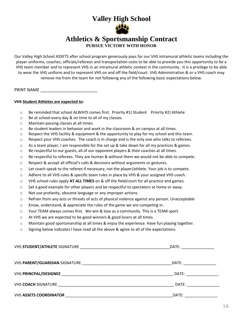# **Valley High School**



#### **Athletics & Sportsmanship Contract PURSUE VICTORY WITH HONOR**

Our Valley High School ASSETS after school program generously pays for our VHS intramural athletic teams including the player uniforms, coaches, officials/referees and transportation costs to be able to provide you this opportunity to be a VHS team member and to represent VHS in an intramural athletic contest in the community. It is a privilege to be able to wear the VHS uniform and to represent VHS on and off the field/court. VHS Administration & or a VHS coach may remove me from the team for not following any of the following basic expectations below.

PRINT NAME

#### **VHS Student Athletes are expected to:**

- $\circ$  Be reminded that school ALWAYS comes first. Priority #1) Student Priority #2) Athlete
- o Be at school every day & on time to all of my classes.
- o Maintain passing classes at all times.
- o Be student leaders in behavior and work in the classroom & on campus at all times.
- $\circ$  Respect the VHS facility & equipment & the opportunity to play for my school and this team.
- $\circ$  Respect your VHS coaches. The coach is in charge and is the only one who talks to referees.
- $\circ$  As a team player, I am responsible for the set up & take down for all my practices & games.
- $\circ$  Be respectful to our guests, all of our opponent players & their coaches at all times.
- o Be respectful to referees. They are human & without them we would not be able to compete.
- o Respect & accept all official's calls & decisions without arguments or gestures.
- $\circ$  Let coach speak to the referee if necessary, not the player/athlete. Your job is to compete.
- o Adhere to all VHS rules & specific team rules in place by VHS & your assigned VHS coach.
- o VHS school rules apply **AT ALL TIMES** on & off the field/court for all practice and games.
- o Set a good example for other players and be respectful to spectators at home or away.
- o Not use profanity, obscene language or any improper actions.
- $\circ$  Refrain from any acts or threats of acts of physical violence against any person. Unacceptable
- o Know, understand, & appreciate the rules of the game we are competing in.
- $\circ$  Your TEAM always comes first. We win & lose as a community. This is a TEAM sport.
- o At VHS we are expected to be good winners & good losers at all times.
- o Maintain good sportsmanship at all times & enjoy the experience. Have fun playing together.
- $\circ$  Signing below indicates I have read all the above & agree to all of the expectations.

| DATE:                        |
|------------------------------|
| DATE: __________________     |
| DATE: www.communications.com |
|                              |
| DATE: _____________          |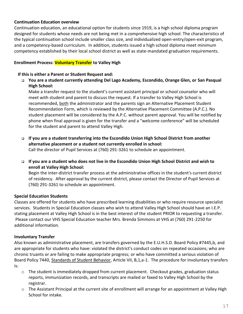#### **Continuation Education overview**

Continuation education, an educational option for students since 1919, is a high school diploma program designed for students whose needs are not being met in a comprehensive high school. The characteristics of the typical continuation school include smaller class size, and individualized open-entry/open-exit program, and a competency-based curriculum. In addition, students issued a high school diploma meet minimum competency established by their local school district as well as state-mandated graduation requirements.

#### **Enrollment Process: Voluntary Transfer to Valley High**

#### **If this is either a Parent or Student Request and:**

❑ **You are a student currently attending Del Lago Academy, Escondido, Orange Glen, or San Pasqual High School:**

Make a transfer request to the student's current assistant principal or school counselor who will meet with student and parent to discuss the request. If a transfer to Valley High School is recommended, both the administrator and the parents sign an Alternative Placement Student Recommendation Form, which is reviewed by the Alternative Placement Committee (A.P.C.). No student placement will be considered by the A.P.C. without parent approval. You will be notified by phone when final approval is given for the transfer and a "welcome conference" will be scheduled for the student and parent to attend Valley High.

❑ **If you are a student transferring into the Escondido Union High School District from another alternative placement or a student not currently enrolled in school:**

Call the director of Pupil Services at (760) 291-3261 to schedule an appointment.

❑ **If you are a student who does not live in the Escondido Union High School District and wish to enroll at Valley High School:** 

Begin the inter-district transfer process at the administrative offices in the student's current district of residency. After approval by the current district, please contact the Director of Pupil Services at (760) 291-3261 to schedule an appointment.

#### **Special Education Students**

Classes are offered for students who have prescribed learning disabilities or who require resource specialist services. Students in Special Education classes who wish to attend Valley High School should have an I.E.P. stating placement at Valley High School is in the best interest of the student PRIOR to requesting a transfer. Please contact our VHS Special Education teacher Mrs. Brenda Simmons at VHS at (760) 291-2250 for additional information.

#### **Involuntary Transfer**

Also known as administrative placement, are transfers governed by the E.U.H.S.D. Board Policy #7445,b, and are appropriate for students who have: violated the district's conduct codes on repeated occasions; who are chronic truants or are failing to make appropriate progress; or who have committed a serious violation of Board Policy 7440, Standards of Student Behavior, Article VII, B,1,a-1. The procedure for involuntary transfers is:

- $\circ$  The student is immediately dropped from current placement. Checkout grades, graduation status reports, immunization records, and transcripts are mailed or faxed to Valley High School by the registrar.
- $\circ$  The Assistant Principal at the current site of enrollment will arrange for an appointment at Valley High School for intake.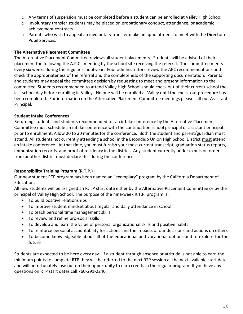- o Any terms of suspension must be completed before a student can be enrolled at Valley High School
- $\circ$  Involuntary transfer students may be placed on probationary conduct, attendance, or academic achievement contracts.
- o Parents who wish to appeal an involuntary transfer make an appointment to meet with the Director of Pupil Services.

#### **The Alternative Placement Committee**

The Alternative Placement Committee reviews all student placements. Students will be advised of their placement the following the A.P.C. meeting by the school site receiving the referral. The committee meets every six weeks during the regular school year. Four administrators review the APC recommendations and check the appropriateness of the referral and the completeness of the supporting documentation. Parents and students may appeal the committee decision by requesting to meet and present information to the committee. Students recommended to attend Valley High School should check out of their current school the last school day before enrolling in Valley. No one will be enrolled at Valley until the check-out procedure has been completed. For information on the Alternative Placement Committee meetings please call our Assistant Principal.

#### **Student Intake Conferences**

Returning students and students recommended for an intake conference by the Alternative Placement Committee must schedule an intake conference with the continuation school principal or assistant principal prior to enrollment. Allow 20 to 30 minutes for the conference. Both the student and parent/guardian must attend. All students not currently attending a school in the Escondido Union High School District must attend an intake conference. At that time, you must furnish your most current transcript, graduation status reports, immunization records, and proof of residency in the district. Any student currently under expulsion orders from another district must declare this during the conference.

#### **Responsibility Training Program (R.T.P.)**

Our new student RTP program has been named an "exemplary" program by the California Department of Education.

All new students will be assigned an R.T.P start date either by the Alternative Placement Committee or by the principal of Valley High School. The purpose of the nine-week R.T.P. program is:

- To build positive relationships
- To improve student mindset about regular and daily attendance in school
- To teach personal time management skills
- To review and refine pro-social skills
- To develop and learn the value of personal organizational skills and positive habits
- To reinforce personal accountability for actions and the impacts of our decisions and actions on others
- To become knowledgeable about all of the educational and vocational options and to explore for the future

Students are expected to be here every day. If a student through absence or attitude is not able to earn the minimum points to complete RTP they will be referred to the next RTP session at the next available start date and will unfortunately lose out on their opportunity to earn credits in the regular program. If you have any questions on RTP start dates call 760-291-2240.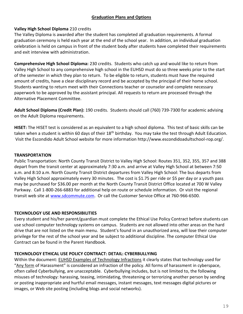#### **Graduation Plans and Options**

#### **Valley High School Diploma** 210 credits

The Valley Diploma is awarded after the student has completed all graduation requirements. A formal graduation ceremony is held each year at the end of the school year. In addition, an individual graduation celebration is held on campus in front of the student body after students have completed their requirements and exit interview with administration.

**Comprehensive High School Diploma:** 230 credits. Students who catch up and would like to return from Valley High School to any comprehensive high school in the EUHSD must do so three weeks prior to the start of the semester in which they plan to return. To be eligible to return, students must have the required amount of credits, have a clear disciplinary record and be accepted by the principal of their home school. Students wanting to return meet with their Connections teacher or counselor and complete necessary paperwork to be approved by the assistant principal. All requests to return are processed through the Alternative Placement Committee.

**Adult School Diploma (Credit Plan):** 190 credits. Students should call (760) 739-7300 for academic advising on the Adult Diploma requirements.

**HISET:** The HISET test is considered as an equivalent to a high school diploma. This test of basic skills can be taken when a student is within 60 days of their 18<sup>th</sup> birthday. You may take the test through Adult Education. Visit the Escondido Adult School website for more information http://www.escondidoadultschool-rop.org/.

#### **TRANSPORTATION**

Public Transportation: North County Transit District to Valley High School: Routes 351, 352, 355, 357 and 388 depart from the transit center at approximately 7:30 a.m. and arrive at Valley High School at between 7:50 a.m. and 8:10 a.m. North County Transit District departures from Valley High School: The bus departs from Valley High School approximately every 30 minutes. The cost is \$1.75 per ride or \$5 per day or a youth pass may be purchased for \$36.00 per month at the North County Transit District Office located at 700 W Valley Parkway. Call 1-800-266-6883 for additional help on route or schedule information. Or visit the regional transit web site at [www.sdcommute.com.](http://www.sdcommute.com/) Or call the Customer Service Office at 760-966-6500.

#### **TECHNOLOGY USE AND RESPONSIBILITIES**

Every student and his/her parent/guardian must complete the Ethical Use Policy Contract before students can use school computer technology systems on campus. Students are not allowed into other areas on the hard drive that are not listed on the main menu. Student's found in an unauthorized area, will lose their computer privilege for the rest of the school year and be subject to additional discipline. The computer Ethical Use Contract can be found in the Parent Handbook.

#### **TECHNOLOGY ETHICAL USE POLICY CONTRACT: DETAIL: CYBERBULLYING**

Within the document: EUHSD Examples of Technology Infractions it clearly states that technology used for "Any form of Harassment" is considered an infraction of the policy. All forms of harassment in cyberspace, often called Cyberbullying, are unacceptable. Cyberbullying includes, but is not limited to, the following misuses of technology: harassing, teasing, intimidating, threatening or terrorizing another person by sending or posting inappropriate and hurtful email messages, instant messages, text messages digital pictures or images, or Web site posting (including blogs and social networks).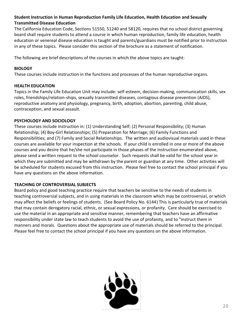#### **Student Instruction in Human Reproduction Family Life Education, Health Education and Sexually Transmitted Disease Education**

The California Education Code, Sections 51550, 51240 and 58120, requires that no school district governing board shall require students to attend a course in which human reproduction, family life education, health education or venereal disease education is taught and parents/guardians must be notified prior to instruction in any of these topics. Please consider this section of the brochure as a statement of notification.

The following are brief descriptions of the courses in which the above topics are taught:

#### **BIOLOGY**

These courses include instruction in the functions and processes of the human reproductive organs.

#### **HEALTH EDUCATION**

Topics in the Family Life Education Unit may include: self-esteem, decision-making, communication skills, sex roles, friendships/relation-ships, sexually transmitted diseases, contagious disease prevention (AIDS), reproductive anatomy and physiology, pregnancy, birth, adoption, abortion, parenting, child abuse, contraception, and sexual assault.

#### **PSYCHOLOGY AND SOCIOLOGY**

These courses include instruction in: (1) Understanding Self; (2) Personal Responsibility; (3) Human Relationship; (4) Boy-Girl Relationships; (5) Preparation for Marriage; (6) Family Functions and Responsibilities; and (7) Family and Social Relationships. The written and audiovisual materials used in these courses are available for your inspection at the schools. If your child is enrolled in one or more of the above courses and you desire that he/she not participate in those phases of the instruction enumerated above, please send a written request to the school counselor. Such requests shall be valid for the school year in which they are submitted and may be withdrawn by the parent or guardian at any time. Other activities will be scheduled for students excused from this instruction. Please feel free to contact the school principal if you have any questions on the above information.

#### **TEACHING OF CONTROVERSIAL SUBJECTS**

Board policy and good teaching practice require that teachers be sensitive to the needs of students in teaching controversial subjects, and in using materials in the classroom which may be controversial, or which may affect the beliefs or feelings of students. (See Board Policy No. 6144) This is particularly true of materials that may contain derogatory racial, ethnic, or sexual expressions, or profanity. Care should be exercised to use the material in an appropriate and sensitive manner, remembering that teachers have an affirmative responsibility under state law to teach students to avoid the use of profanity, and to "instruct them in manners and morals. Questions about the appropriate use of materials should be referred to the principal. Please feel free to contact the school principal if you have any questions on the above information.

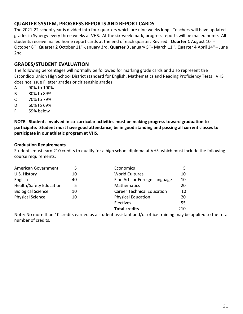#### **QUARTER SYSTEM, PROGRESS REPORTS AND REPORT CARDS**

The 2021-22 school year is divided into four quarters which are nine weeks long. Teachers will have updated grades in Synergy every three weeks at VHS. At the six-week mark, progress reports will be mailed home. All students receive mailed home report cards at the end of each quarter. Revised: **Quarter 1** August 10<sup>th</sup>-October 8<sup>th</sup>, **Quarter 2** October 11<sup>th</sup>-January 3rd, **Quarter 3** January 5<sup>th</sup>- March 11<sup>th</sup>, **Quarter 4** April 14<sup>th</sup>– June 2nd

#### **GRADES/STUDENT EVALUATION**

The following percentages will normally be followed for marking grade cards and also represent the Escondido Union High School District standard for English, Mathematics and Reading Proficiency Tests. VHS does not issue F letter grades or citizenship grades.

- A 90% to 100%
- B 80% to 89%
- C 70% to 79%
- D 60% to 69%
- F 59% below

**NOTE: Students involved in co-curricular activities must be making progress toward graduation to participate. Student must have good attendance, be in good standing and passing all current classes to participate in our athletic program at VHS.**

#### **Graduation Requirements**

Students must earn 210 credits to qualify for a high school diploma at VHS, which must include the following course requirements:

| American Government            | 5  | Economics                         | 5   |
|--------------------------------|----|-----------------------------------|-----|
| U.S. History                   | 10 | <b>World Cultures</b>             | 10  |
| English                        | 40 | Fine Arts or Foreign Language     | 10  |
| <b>Health/Safety Education</b> | 5  | <b>Mathematics</b>                | 20  |
| <b>Biological Science</b>      | 10 | <b>Career Technical Education</b> | 10  |
| <b>Physical Science</b>        | 10 | <b>Physical Education</b>         | 20  |
|                                |    | Electives                         | 55  |
|                                |    | <b>Total credits</b>              | 210 |

Note: No more than 10 credits earned as a student assistant and/or office training may be applied to the total number of credits.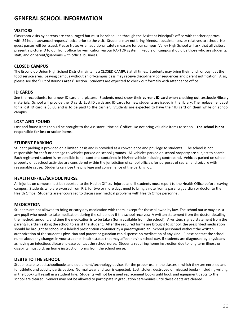### **GENERAL SCHOOL INFORMATION**

#### **VISITORS**

Classroom visits by parents are encouraged but must be scheduled through the Assistant Principal's office with teacher approval with 24 hours advanced request/notice prior to the visit. Students may not bring friends, acquaintances, or relatives to school. No guest passes will be issued. Please Note: As an additional safety measure for our campus, Valley High School will ask that all visitors present a picture ID to our front office for verification via our RAPTOR system. People on campus should be those who are students, staff, and or parent/guardians with official business.

#### **CLOSED CAMPUS**

The Escondido Union High School District maintains a CLOSED CAMPUS at all times. Students may bring their lunch or buy it at the food service area. Leaving campus without an off-campus pass may receive disciplinary consequences and parent notification. Also, please see the "Out of Bounds Areas" section. Students are expected to check out formally with attendance office.

#### **ID CARDS**

See the receptionist for a new ID card and picture. Students must show their **current ID card** when checking out textbooks/library materials. School will provide the ID card. Lost ID cards and ID cards for new students are issued in the library. The replacement cost for a lost ID card is \$5.00 and is to be paid to the cashier. Students are expected to have their ID card on them while on school campus.

#### **LOST AND FOUND**

Lost and found items should be brought to the Assistant Principals' office. Do not bring valuable items to school. **The school is not responsible for lost or stolen items.**

#### **STUDENT PARKING**

Student parking is provided on a limited basis and is provided as a convenience and privilege to students. The school is not responsible for theft or damage to vehicles parked on school grounds. All vehicles parked on school property are subject to search. Each registered student is responsible for all contents contained in his/her vehicle including contraband. Vehicles parked on school property or at school activities are considered within the jurisdiction of school officials for purposes of search and seizure with reasonable cause**.** Students can lose the privilege and convenience of the parking lot.

#### **HEALTH OFFICE/SCHOOL NURSE**

All injuries on campus must be reported to the Health Office. Injured and ill students must report to the Health Office before leaving campus. Students who are excused from P.E. for two or more days need to bring a note from a parent/guardian or doctor to the Health Office. Students are encouraged to discuss any medical problems with Health Office personnel.

#### **MEDICATION**

Students are not allowed to bring or carry any medication with them, except for those allowed by law. The school nurse may assist any pupil who needs to take medication during the school day if the school receives: A written statement from the doctor detailing the method, amount, and time the medication is to be taken (form available from the school). A written, signed statement from the parent/guardian asking the school to assist the student. After the required forms are brought to school, the prescribed medication should be brought to school in a labeled prescription container by a parent/guardian. School personnel without the written authorization of the student's physician and parent or guardian can dispense no medication of any kind. Please contact the school nurse about any changes in your students' health status that may affect her/his school day. If students are diagnosed by physicians as having an infectious disease, please contact the school nurse. Students requiring home instruction due to long term illness or disability must pick up home instruction forms from the school nurse.

#### **DEBTS TO THE SCHOOL**

Students are issued schoolbooks and equipment/technology devices for the proper use in the classes in which they are enrolled and for athletic and activity participation. Normal wear and tear is expected. Lost, stolen, destroyed or misused books (including writing in the book) will result in a student fine. Students will not be issued replacement books until book and equipment debts to the school are cleared. Seniors may not be allowed to participate in graduation ceremonies until these debts are cleared.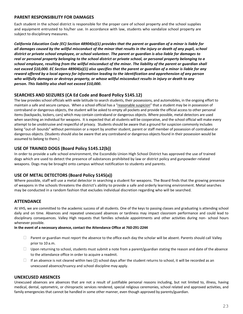#### **PARENT RESPONSIBILITY FOR DAMAGES**

Each student in the school district is responsible for the proper care of school property and the school supplies and equipment entrusted to his/her use. In accordance with law, students who vandalize school property are subject to disciplinary measures.

*California Education Code (EC) Section 48904(a)(1) provides that the parent or guardian of a minor is liable for all damages caused by the willful misconduct of the minor that results in the injury or death of any pupil, school district or private school employee, or school volunteer. The parent or guardian is also liable for damages to real or personal property belonging to the school district or private school, or personal property belonging to a school employee, resulting from the willful misconduct of the minor. The liability of the parent or guardian shall not exceed \$10,000. EC Section 48904(a)(1) also specifies that the parent or guardian of a minor is liable for any reward offered by a local agency for information leading to the identification and apprehension of any person who willfully damages or destroys property, or whose willful misconduct results in injury or death to any person. This liability also shall not exceed \$10,000.*

#### **SEARCHES AND SEIZURES (CA Ed Code and Board Policy 5145.12)**

The law provides school officials with wide latitude to search students, their possessions, and automobiles, in the ongoing effort to maintain a safe and secure campus. When a school official has a "reasonable suspicion" that a student may be in possession of contraband or dangerous objects, the student will be asked to empty all pockets and provide the official access to other personal items (backpacks, lockers, cars) which may contain contraband or dangerous objects. Where possible, metal detectors are used when searching an individual for weapons. It is expected that all students will be cooperative, and the school official will make every attempt to be unobtrusive and respectful of privacy. Students should be aware that a ground for suspicion commonly includes being "out-of- bounds" without permission or a report by another student, parent or staff member of possession of contraband or dangerous objects. (Students should also be aware that any contraband or dangerous objects found in their possession would be assumed to belong to them.)

#### **USE OF TRAINED DOGS (Board Policy 5145.12(b))**

In order to provide a safe school environment, the Escondido Union High School District has approved the use of trained dogs which are used to detect the presence of substances prohibited by law or district policy and gunpowder-related weapons. Dogs may be brought onto campus without notification to students and parents.

#### **USE OF METAL DETECTORS (Board Policy 5145(a))**

Where possible, staff will use a metal detector in searching a student for weapons. The Board finds that the growing presence of weapons in the schools threatens the district's ability to provide a safe and orderly learning environment. Metal searches may be conducted in a random fashion that excludes individual discretion regarding who will be searched.

#### **ATTENDANCE**

At VHS, we are committed to the academic success of all students. One of the keys to passing classes and graduating is attending school daily and on time. Absences and repeated unexcused absences or tardiness may impact classroom performance and could lead to disciplinary consequences. Valley High requests that families schedule appointments and other activities during non- school hours whenever possible.

#### **In the event of a necessary absence, contact the Attendance Office at 760-291-2244**

- $\Box$  Parent or guardian must report the absence to the office each day the scholar will be absent. Parents should call Valley prior to 10 a.m.
- $\Box$  Upon returning to school, students must submit a note from a parent/guardian stating the reason and date of the absence to the attendance office in order to acquire a readmit.
- $\Box$  If an absence is not cleared within two (2) school days after the student returns to school, it will be recorded as an unexcused absence/truancy and school discipline may apply.

#### **UNEXCUSED ABSENCES**

Unexcused absences are absences that are not a result of justifiable personal reasons including, but not limited to, illness, having medical, dental, optometric, or chiropractic services rendered, special religious ceremonies, school related and approved activities, and family emergencies that cannot be handled in some other manner, even though approved by parents/guardian.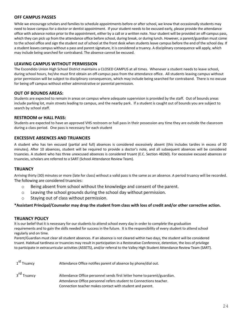#### **OFF CAMPUS PASSES**

While we encourage scholars and families to schedule appointments before or after school, we know that occasionally students may need to leave campus for a doctor or dentist appointment. If your student needs to be excused early, please provide the attendance office with advance notice prior to the appointment, either by a call or a written note. Your student will be provided an off-campus pass, which they can pick up from the attendance office before school, during break, or during lunch. However, a parent/guardian must come to the school office and sign the student out of school at the front desk when students leave campus before the end of the school day. If a student leaves campus without a pass and parent signature, it is considered a truancy. A disciplinary consequence will apply, which may include being searched for contraband. The absence cannot be excused.

#### **LEAVING CAMPUS WITHOUT PERMISSION**

The Escondido Union High School District maintains a CLOSED CAMPUS at all times. Whenever a student needs to leave school, during school hours, he/she must first obtain an off-campus pass from the attendance office. All students leaving campus without prior permission will be subject to disciplinary consequences, which may include being searched for contraband. There is no excuse for being off campus without either administrative or parental permission.

#### **OUT OF BOUNDS AREAS:**

Students are expected to remain in areas on campus where adequate supervision is provided by the staff. Out of bounds areas include parking lot, main streets leading to campus, and the nearby park. If a student is caught out of bounds you are subject to search by school staff.

#### **RESTROOM or HALL PASS:**

Students are expected to have an approved VHS restroom or hall pass in their possession any time they are outside the classroom during a class period. One pass is necessary for each student

#### **EXCESSIVE ABSENCES AND TRUANCIES**

A student who has ten excused (partial and full) absences is considered excessively absent (this includes tardies in excess of 30 minutes). After 10 absences, student will be required to provide a doctor's note, and all subsequent absences will be considered truancies. A student who has three unexcused absences is considered truant (E.C. Section 48260). For excessive excused absences or truancies, scholars are referred to a SART (School Attendance Review Team).

#### **TRUANCY**

Arriving thirty (30) minutes or more (late for class) without a valid pass is the same as an absence. A period truancy will be recorded. The following are considered truancies:

- $\circ$  Being absent from school without the knowledge and consent of the parent.
- o Leaving the school grounds during the school day without permission.
- o Staying out of class without permission.

#### **\*Assistant Principal/Counselor may drop the student from class with loss of credit and/or other corrective action.**

#### **TRUANCY POLICY**

It is our belief that it is necessary for our students to attend school every day in order to complete the graduation requirements and to gain the skills needed for success in the future. It is the responsibility of every student to attend school regularly and on time.

Parent/Guardian must clear all student absences. If an absence is not cleared within two days, the student will be considered truant. Habitual tardiness or truancies may result in participation in a Restorative Conference, detention, the loss of privilege to participate in extracurricular activities (ASSETS), and/or referral to the Valley High Student Attendance Review Team (SART).

| 1 <sup>st</sup> Truancy | Attendance Office notifies parent of absence by phone/dial out.                                                                                                                                            |
|-------------------------|------------------------------------------------------------------------------------------------------------------------------------------------------------------------------------------------------------|
| 3 <sup>rd</sup> Truancy | Attendance Office personnel sends first letter home to parent/guardian.<br>Attendance Office personnel refers student to Connections teacher.<br>Connection teacher makes contact with student and parent. |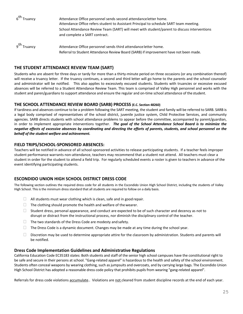| 6 <sup>th</sup> Truancy | Attendance Office personnel sends second attendance letter home.<br>Attendance Office refers student to Assistant Principal to schedule SART team meeting.<br>School Attendance Review Team (SART) will meet with student/parent to discuss interventions<br>and complete a SART contract. |
|-------------------------|--------------------------------------------------------------------------------------------------------------------------------------------------------------------------------------------------------------------------------------------------------------------------------------------|
| 9 <sup>th</sup> Truancy | Attendance Office personnel sends third attendance letter home.                                                                                                                                                                                                                            |

Referral to Student Attendance Review Board (SARB) if improvement have not been made.

#### **THE STUDENT ATTENDANCE REVIEW TEAM (SART)**

Students who are absent for three days or tardy for more than a thirty-minute period on three occasions (or any combination thereof) will receive a truancy letter. If the truancy continues, a second and third letter will go home to the parents and the school counselor and administrator will be notified. This also applies to excessively excused students. Students with truancies or excessive excused absences will be referred to a Student Attendance Review Team. This team is comprised of Valley High personnel and works with the student and paren/guardians to support attendance and ensure the regular and on-time school attendance of the student.

#### **THE SCHOOL ATTENDANCE REVIEW BOARD (SARB) PROCESS (E.C. Section 48260)**

If tardiness and absences continue to be a problem following the SART meeting, the student and family will be referred to SARB. SARB is a legal body comprised of representatives of the school district, juvenile justice system, Child Protective Services, and community agencies. SARB directs students with school attendance problems to appear before the committee, accompanied by parent/guardian, in order to implement appropriate interventions together. *The goal of the School Attendance School Board is to minimize the negative effects of excessive absences by coordinating and directing the efforts of parents, students, and school personnel on the behalf of the student welfare and achievement.*

#### **FIELD TRIPS/SCHOOL-SPONSORED ABSENCES:**

Teachers will be notified in advance of all school-sponsored activities to release participating students. If a teacher feels improper student performance warrants non-attendance, teachers may recommend that a student not attend. All teachers must clear a student in order for the student to attend a field trip. For regularly scheduled events a roster is given to teachers in advance of the event identifying participating students.

#### **ESCONDIDO UNION HIGH SCHOOL DISTRICT DRESS CODE**

The following section outlines the required dress code for all students in the Escondido Union High School District, including the students of Valley High School. This is the minimum dress standard that all students are required to follow on a daily basis.

- $\Box$  All students must wear clothing which is clean, safe and in good repair.
- $\Box$  The clothing should promote the health and welfare of the wearer.
- $\Box$  Student dress, personal appearance, and conduct are expected to be of such character and decency as not to disrupt or distract from the instructional process, nor diminish the disciplinary control of the teacher.
- $\Box$  The two standards of the Dress Code are modesty and safety.
- $\Box$  The Dress Code is a dynamic document. Changes may be made at any time during the school year.
- $\square$  Discretion may be used to determine appropriate attire for the classroom by administration. Students and parents will be notified.

#### **Dress Code Implementation Guidelines and Administrative Regulations**

California Education Code EC35183 states: Both students and staff of the senior high school campuses have the constitutional right to be safe and secure in their persons at school. "Gang-related apparel" is hazardous to the health and safety of the school environment. Students often conceal weapons by wearing clothing, such as jumpsuits and overcoats, and by carrying large bags. The Escondido Union High School District has adopted a reasonable dress code policy that prohibits pupils from wearing "gang-related apparel".

Referrals for dress code violations accumulate.. Violations are not cleared from student discipline records at the end of each year.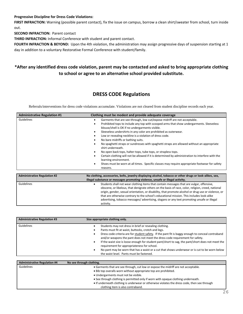#### **Progressive Discipline for Dress Code Violations:**

**FIRST INFRACTION:** Warning (possible parent contact), fix the issue on campus, borrow a clean shirt/sweater from school, turn inside out.

**SECOND INFRACTION:** Parent contact

**THIRD INFRACTION:** Informal Conference with student and parent contact.

**FOURTH INFRACTION & BEYOND:** Upon the 4th violation, the administration may assign progressive days of suspension starting at 1 day in addition to a voluntary Restorative Formal Conference with student/family.

#### **\*After any identified dress code violation, parent may be contacted and asked to bring appropriate clothing to school or agree to an alternative school provided substitute.**

#### **DRESS CODE Regulations**

Referrals/interventions for dress code violations accumulate. Violations are not cleared from student discipline records each year.

| <b>Administrative Regulation #1</b> | Clothing must be modest and provide adequate coverage                                                                                                                                                                                                                                                                                                                                                                                                                                                                                                                                                                                                                                                                                                                                                                       |  |  |
|-------------------------------------|-----------------------------------------------------------------------------------------------------------------------------------------------------------------------------------------------------------------------------------------------------------------------------------------------------------------------------------------------------------------------------------------------------------------------------------------------------------------------------------------------------------------------------------------------------------------------------------------------------------------------------------------------------------------------------------------------------------------------------------------------------------------------------------------------------------------------------|--|--|
| Guidelines                          | Garments that are see-through, low cut/expose midriff are not acceptable.<br>Prohibited tops to include any top with scooped arms that show undergarments. Sleeveless<br>blouse/shell is OK if no undergarments visible.<br>Sleeveless undershirts in any color are prohibited as outerwear.<br>Low or revealing neckline is a violation of dress code.<br>No bare midriffs or bathing suits.<br>No spaghetti straps or sundresses with spaghetti straps are allowed without an appropriate<br>shirt underneath.<br>No open back tops, halter-tops, tube tops, or strapless tops.<br>Certain clothing will not be allowed if it is determined by administration to interfere with the<br>learning environment.<br>Shoes must be worn at all times. Specific classes may require appropriate footwear for safety<br>reasons. |  |  |
| <b>Administrative Regulation #2</b> | No clothing, accessories, belts, jewelry displaying alcohol, tobacco or other drugs or look-alikes, sex,                                                                                                                                                                                                                                                                                                                                                                                                                                                                                                                                                                                                                                                                                                                    |  |  |
|                                     | illegal substance or messages promoting violence, unsafe or illegal activity.                                                                                                                                                                                                                                                                                                                                                                                                                                                                                                                                                                                                                                                                                                                                               |  |  |
| Guidelines                          | Students shall not wear clothing items that contain messages that are vulgar, offensive,<br>$\bullet$<br>obscene, or libelous, that denigrate others on the basis of race, color, religion, creed, national<br>origin, gender, sexual orientation, or disability, that promote alcohol or drug use or violence, or<br>that are otherwise contrary to the school's educational mission. This includes look-alike<br>advertising, tobacco messages/advertising, slogans or any text promoting unsafe or illegal<br>activity.                                                                                                                                                                                                                                                                                                  |  |  |

| <b>Administrative Regulation #3</b> | Size appropriate clothing only.                                                                                                                                                                                                                                                                                                                                                                                                                                                                                                                                                                     |
|-------------------------------------|-----------------------------------------------------------------------------------------------------------------------------------------------------------------------------------------------------------------------------------------------------------------------------------------------------------------------------------------------------------------------------------------------------------------------------------------------------------------------------------------------------------------------------------------------------------------------------------------------------|
| Guidelines                          | Students may not dress in brief or revealing clothing.<br>Pants must fit at waist, buttocks, crotch and legs.<br>Dress code criteria are for student safety. If the pant fit is baggy enough to conceal contraband<br>and/or weapons the pant does not meet the dress code requirement for safety.<br>If the waist size is loose enough for student pant/short to sag, the pant/short does not meet the<br>requirement for appropriateness for school.<br>No pant may be worn that has a waist or a cut that shows underwear or is cut to be worn below<br>the waist level. Pants must be fastened. |
| <b>Administrative Regulation #4</b> | No see through clothing.                                                                                                                                                                                                                                                                                                                                                                                                                                                                                                                                                                            |
| Guidelines                          | • Garments that are see through, cut low or expose the midriff are not acceptable.<br>• Bib top overalls worn without appropriate top are prohibited.                                                                                                                                                                                                                                                                                                                                                                                                                                               |

- Undergarments must not be visible.
- See through clothing is permitted only if worn with opaque clothing underneath.
- If underneath clothing is underwear or otherwise violates the dress code, then see through clothing item is also contraband.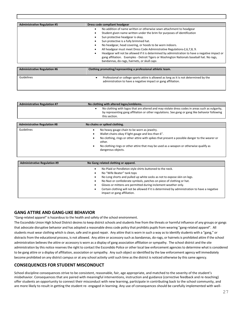| <b>Administrative Regulation #5</b> | Dress code compliant headgear                                                                                                                                                                                                                                                                                                                                                                                                                                             |  |  |
|-------------------------------------|---------------------------------------------------------------------------------------------------------------------------------------------------------------------------------------------------------------------------------------------------------------------------------------------------------------------------------------------------------------------------------------------------------------------------------------------------------------------------|--|--|
|                                     | No addition of name written or otherwise sewn attachment to headgear<br>Student given name written under the brim for purposes of identification<br>Sun protective headgear is okay.<br>Sun protective is a fully brimmed hat.<br>No headgear, head covering, or hoods to be worn indoors.<br>All headgear must meet Dress Code Administrative Regulations-2,6,7,8, 9.<br>Headgear will not be allowed if it is determined by administration to have a negative impact or |  |  |
|                                     | gang affiliation. Examples - Detroit Tigers or Washington Nationals baseball hat. No rags,<br>bandannas, do-rags, hairnets, or skull caps                                                                                                                                                                                                                                                                                                                                 |  |  |
| <b>Administrative Regulation #6</b> | Clothing promoting/representing a professional athletic team.                                                                                                                                                                                                                                                                                                                                                                                                             |  |  |
| Guidelines                          | Professional or college sports attire is allowed as long as it is not determined by the                                                                                                                                                                                                                                                                                                                                                                                   |  |  |

| administration to have a negative impact or gang affiliation. |  |
|---------------------------------------------------------------|--|

| <b>Administrative Regulation #7</b> | No clothing with altered logos/emblems.                                                                                                                                                                                                          |
|-------------------------------------|--------------------------------------------------------------------------------------------------------------------------------------------------------------------------------------------------------------------------------------------------|
|                                     | No clothing with logos that are altered and may violate dress codes in areas such as vulgarity,<br>٠<br>by representing gang affiliation or other regulations. See gang or gang like behavior following<br>this section.                         |
|                                     |                                                                                                                                                                                                                                                  |
| <b>Administrative Regulation #8</b> | No chains or spiked clothing.                                                                                                                                                                                                                    |
| Guidelines                          | No heavy gauge chain to be worn as jewelry.                                                                                                                                                                                                      |
|                                     | Wallet chains okay if light gauge and less than 6".                                                                                                                                                                                              |
|                                     | No clothing, rings or other attire with spikes that present a possible danger to the wearer or<br>$\bullet$<br>other.<br>the collective of the collection of the characteristic collection of the collection of the collection of the collection |

| No clothing rings or other attire that may be used as a weapon or otherwise qualify as |  |  |  |  |
|----------------------------------------------------------------------------------------|--|--|--|--|
| dangerous objects.                                                                     |  |  |  |  |

| <b>Administrative Regulation #9</b> | No Gang related clothing or apparel.                                                                                                                                                                                                                                                                                                                                                                                                        |  |
|-------------------------------------|---------------------------------------------------------------------------------------------------------------------------------------------------------------------------------------------------------------------------------------------------------------------------------------------------------------------------------------------------------------------------------------------------------------------------------------------|--|
|                                     | No Plaid or Pendleton style shirts buttoned to the neck.<br>No "Wife Beater" tank tops<br>No Long shorts and pulled up white socks as not to expose skin on legs.<br>No Nazi or confederate symbols, patches on piece of clothing or hat.<br>Gloves or mittens are permitted during inclement weather only.<br>Certain clothing will not be allowed if it is determined by administration to have a negative<br>impact or gang affiliation. |  |

#### **GANG ATTIRE AND GANG-LIKE BEHAVIOR**

"Gang-related apparel" is hazardous to the health and safety of the school environment.

The Escondido Union High School District desires to keep district schools and students free from the threats or harmful influence of any groups or gangs that advocate disruptive behavior and has adopted a reasonable dress code policy that prohibits pupils from wearing "gang-related apparel". All students must wear clothing which is clean, safe and in good repair. Any attire that is worn in such a way as to identify students with a "gang," or distracts from the educational process, is not allowed. Any attire or accessory such as bandannas, do-rags, or hairnets is prohibited attire if the school administration believes the attire or accessory is worn as a display of gang association affiliation or sympathy. The school district and the site administration by this notice reserves the right to contact the Escondido Police or other local law enforcement agencies to determine what is considered to be gang attire or a display of affiliation, association or sympathy. Any such object so identified by the law enforcement agency will immediately become prohibited on any district campus or at any school activity until such time as the district is noticed otherwise by this same agency.

#### **CONSEQUENCES FOR STUDENT MISCONDUCT**

School discipline consequences strive to be consistent, reasonable, fair, age appropriate, and matched to the severity of the student's misbehavior. Consequences that are paired with meaningful interventions, instruction and guidance (corrective feedback and re-teaching) offer students an opportunity to connect their misconduct with new learning, participate in contributing back to the school community, and are more likely to result in getting the student re- engaged in learning. Any use of consequences should be carefully implemented with well-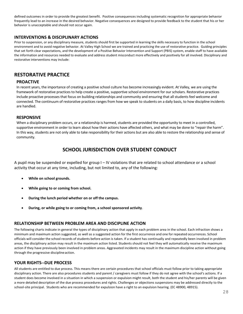defined outcomes in order to provide the greatest benefit. Positive consequences including systematic recognition for appropriate behavior frequently lead to an increase in the desired behavior. Negative consequences are designed to provide feedback to the student that his or her behavior is unacceptable and should not occur again.

#### **INTERVENTIONS & DISCIPLINARY ACTIONS**

Prior to suspension, or any disciplinary measure, students should first be supported in learning the skills necessary to function in the school environment and to avoid negative behavior. At Valley High School we are trained and practicing the use of restorative practice. Guiding principles that set forth clear expectations, and the development of a Positive Behavior Intervention and Support (PBIS) system, enable staff to have available the information and resources needed to evaluate and address student misconduct more effectively and positively for all involved. Disciplinary and restorative interventions may include:

#### **RESTORATIVE PRACTICE**

#### **PROACTIVE**

In recent years, the importance of creating a positive school culture has become increasingly evident. At Valley, we are using the framework of restorative practices to help create a positive, supportive school environment for our scholars. Restorative practices include proactive processes that focus on building relationships and community and ensuring that all students feel welcome and connected. The continuum of restorative practices ranges from how we speak to students on a daily basis, to how discipline incidents are handled.

#### **RESPONSIVE**

When a disciplinary problem occurs, or a relationship is harmed, students are provided the opportunity to meet in a controlled, supportive environment in order to learn about how their actions have affected others, and what may be done to "repair the harm". In this way, students are not only able to take responsibility for their actions but are also able to restore the relationship and sense of community.

#### **SCHOOL JURISDICTION OVER STUDENT CONDUCT**

A pupil may be suspended or expelled for group I – IV violations that are related to school attendance or a school activity that occur at any time, including, but not limited to, any of the following:

- **While on school grounds.**
- **While going to or coming from school.**
- **During the lunch period whether on or off the campus.**
- **During, or while going to or coming from, a school sponsored activity**.

#### **RELATIONSHIP BETWEEN PROBLEM AREA AND DISCIPLINE ACTION**

The following charts indicate in general the types of disciplinary action that apply in each problem area in the school. Each infraction shows a minimum and maximum action suggested, as well as a suggested action for the first occurrence and one for repeated occurrences. School officials will consider the school records of students before action is taken. If a student has continually and repeatedly been involved in problem areas, the disciplinary action may result in the maximum action listed. Students should not feel they will automatically receive the maximum action if they have previously been involved in problem areas. Aggravated incidents may result in the maximum discipline action without going through the progressive disciplineaction.

#### **YOUR RIGHTS--DUE PROCESS**

All students are entitled to due process. This means there are certain procedures that school officials must follow prior to taking appropriate disciplinary action. There are also procedures students and parent / caregivers must follow if they do not agree with the school's actions. If a student does become involved in a situation in which a suspension or expulsion might result, both the student and his/her parents will be given a more detailed description of the due process procedures and rights. Challenges or objections suspensions may be addressed directly to the school-site principal. Students who are recommended for expulsion have a right to an expulsion hearing. (EC 48900, 48915).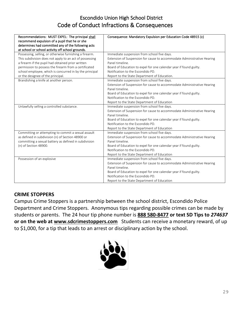### Escondido Union High School District Code of Conduct Infractions & Consequences

| Recommendations: MUST EXPEL: The principal shall<br>recommend expulsion of a pupil that he or she<br>determines had committed any of the following acts<br>at school or school activity off school grounds.                                                                                                                      | Consequence: Mandatory Expulsion per Education Code 48915 (c)                                                                                                                                                                                                                                        |
|----------------------------------------------------------------------------------------------------------------------------------------------------------------------------------------------------------------------------------------------------------------------------------------------------------------------------------|------------------------------------------------------------------------------------------------------------------------------------------------------------------------------------------------------------------------------------------------------------------------------------------------------|
| Possessing, selling, or otherwise furnishing a firearm.<br>This subdivision does not apply to an act of possessing<br>a firearm if the pupil had obtained prior written<br>permission to possess the firearm from a certificated<br>school employee, which is concurred in by the principal<br>or the designee of the principal. | Immediate suspension from school five days.<br>Extension of Suspension for cause to accommodate Administrative Hearing<br>Panel timeline.<br>Board of Education to expel for one calendar year if found guilty.<br>Notification to the Escondido PD.<br>Report to the State Department of Education. |
| Brandishing a knife at another person.                                                                                                                                                                                                                                                                                           | Immediate suspension from school five days.<br>Extension of Suspension for cause to accommodate Administrative Hearing<br>Panel timeline.<br>Board of Education to expel for one calendar year if found guilty.<br>Notification to the Escondido PD.<br>Report to the State Department of Education  |
| Unlawfully selling a controlled substance.                                                                                                                                                                                                                                                                                       | Immediate suspension from school five days.<br>Extension of Suspension for cause to accommodate Administrative Hearing<br>Panel timeline.<br>Board of Education to expel for one calendar year if found guilty.<br>Notification to the Escondido PD.<br>Report to the State Department of Education  |
| Committing or attempting to commit a sexual assault<br>as defined in subdivision (n) of Section 48900 or<br>committing a sexual battery as defined in subdivision<br>(n) of Section 48900.                                                                                                                                       | Immediate suspension from school five days.<br>Extension of Suspension for cause to accommodate Administrative Hearing<br>Panel timeline.<br>Board of Education to expel for one calendar year if found guilty.<br>Notification to the Escondido PD.<br>Report to the State Department of Education  |
| Possession of an explosive                                                                                                                                                                                                                                                                                                       | Immediate suspension from school five days.<br>Extension of Suspension for cause to accommodate Administrative Hearing<br>Panel timeline.<br>Board of Education to expel for one calendar year if found guilty.<br>Notification to the Escondido PD.<br>Report to the State Department of Education  |

### **CRIME STOPPERS**

Campus Crime Stoppers is a partnership between the school district, Escondido Police Department and Crime Stoppers. Anonymous tips regarding possible crimes can be made by students or parents. The 24 hour tip phone number is **[888 580-8477](tel:8885808477) or text SD Tips to** *274637* **or on the web at www.sdcrimestoppers.com** Students can receive a monetary reward, of up to \$1,000, for a tip that leads to an arrest or disciplinary action by the school.

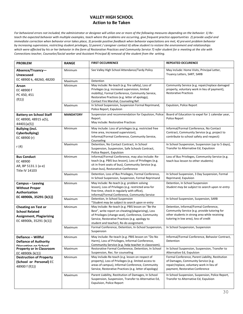#### **VALLEY HIGH SCHOOL Action to Be Taken**

*For behavioral errors not included, the administrator or designee will utilize one or more of the following measures depending on the behavior: 1) Reteach the expected behavior with multiple examples, teach where the problems are occurring, give frequent practice opportunities 2) provide useful and immediate correction when behavior error takes place, 3) provide positive feedback when behavior expectations are met, 4) prevent problem behavior by increasing supervision, restricting student privileges, 5) parent / caregiver contact 6) allow student to restore the environment and relationships which were affected by his or her behavior in the form of Restorative Practices and Community Service 7) refer student for a meeting at the site with Connections teacher, Counselor/Social worker and Assistant Principal 8) removal of the student from the setting.*

| <b>PROBLEM</b>                                                                                                    | <b>RANGE</b>     | <b>FIRST OCCURRENCE</b>                                                                                                                                                                                                                                       | <b>REPEATED OCCURENCE</b>                                                                                                                                                        |
|-------------------------------------------------------------------------------------------------------------------|------------------|---------------------------------------------------------------------------------------------------------------------------------------------------------------------------------------------------------------------------------------------------------------|----------------------------------------------------------------------------------------------------------------------------------------------------------------------------------|
| Absence/Truancy-<br><b>Unexcused</b>                                                                              | Minimum          | See Valley High School Attendance/Tardy Policy                                                                                                                                                                                                                | May include: Home Visits, Principal Letter,<br>Truancy Letters, SART, SARB                                                                                                       |
| EC 48900 k, 48260, 48200                                                                                          | Maximum          | Detention                                                                                                                                                                                                                                                     |                                                                                                                                                                                  |
| Arson<br>EC 48900 f<br>PC 450, 451<br>${f(1)}$                                                                    | Minimum          | May include: Re-teach (e.g. fire safety), Loss of<br>Privileges (e.g. increased supervision, limited<br>mobility), Formal Conference, Community Service,<br>Restorative Practices (e.g. letter of apology),<br>Contact Fire Marshal, Counseling Ref.          | Community Service (e.g. repair/replace damaged<br>property, voluntary work in lieu of payment),<br><b>Restorative Practices</b>                                                  |
|                                                                                                                   | Maximum          | In School Suspension, Suspension Formal Reprimand,<br>Police Report, Expulsion                                                                                                                                                                                | Expulsion, Police Report                                                                                                                                                         |
| <b>Battery on School Staff</b><br>EC 48900, 48915 a(5),<br>44401{a(5)}                                            | <b>MANDATORY</b> | Suspension and recommendation for Expulsion, Police<br>Report.<br>May include: Restorative Practices                                                                                                                                                          | Board of Education to expel for 1 calendar year,<br>Police Report                                                                                                                |
| <b>Bullying (incl.</b><br>Cyberbullying)<br>EC 48900 (r)                                                          | Minimum          | May include: Loss of privileges (e.g. restricted free<br>time area, increased supervision),<br>Informal/Formal Conference, Community Service,<br>Counseling                                                                                                   | Informal/Formal Conference, No Contact<br>Contract, Community Service (e.g. project to<br>contribute to school safety and respect)                                               |
| r (4)                                                                                                             | Maximum          | Detention, No Contact Contract, In School<br>Suspension, Suspension, Safe Schools Contract,<br>Police Report, Expulsion                                                                                                                                       | In School Suspension, Suspension (up to 5 days),<br>Transfer to Alternative Ed, Expulsion                                                                                        |
| <b>Bus Conduct</b><br>EC 48900<br>AR, BP 5131.1 (a-e)<br>Title IV 14103                                           | Minimum          | Informal/Formal Conference, may also include: Re-<br>teach (e.g. PBIS bus lesson), Loss of Privileges (e.g.<br>sit in front seats of bus), Community Service (e.g.<br>clean bus), Restorative Conference                                                      | Loss of Bus Privileges, Community Service (e.g.<br>teach bus lesson to other students)                                                                                           |
|                                                                                                                   | Maximum          | Detention, Loss of Bus Privileges, Formal Conference,<br>In School Suspension, Suspension, Formal Reprimand                                                                                                                                                   | In School Suspension, 3 Day Suspension, Formal<br>Reprimand, Expulsion                                                                                                           |
| Campus - Leaving<br><b>Without Proper</b><br><b>Authorization</b>                                                 | Minimum          | May include: Re-teach (e.g. problem solving<br>lesson), Loss of Privileges (e.g. restricted area for<br>free time, check in regularly with office),<br>Informal/Formal Conference, Community Service                                                          | Detention, In School Suspension<br>Student may be subject to search upon re-entry                                                                                                |
| EC 48900k, 35291 {k(1)}                                                                                           | Maximum          | Detention, In School Suspension<br>*Student may be subject to search upon re-entry                                                                                                                                                                            | In School Suspension, Suspension, SARB                                                                                                                                           |
| <b>Cheating on Test or</b><br><b>School Related</b><br><b>Assignment, Plagiarizing</b><br>EC 48900k, 35291 {k(1)} | Minimum          | May include: Re-teach (e.g. PBIS lesson on "Be the<br>Best", write report on cheating/plagiarizing), Loss<br>of Privileges (change seat), Conference, Community<br>Service, Restorative Practices (e.g. apology to<br>student and teacher), Re-do assignment. | Detention, Informal/Formal Conference,<br>Community Service (e.g. provide tutoring for<br>other students in strong area while receiving<br>tutoring in low area), loss of credit |
|                                                                                                                   | Maximum          | Formal Conference, Detention, In-School Suspension,<br>Suspension                                                                                                                                                                                             | In School Suspension, Suspension                                                                                                                                                 |
| Defiance - Willful<br><b>Defiance of Authority</b><br>Dieruntion on Cehool                                        | Minimum          | May include: Re-teach (e.g. PBIS lesson on "Do No<br>Harm), Loss of Privileges, Informal Conference,<br>Community Service (e.g. help teacher in classroom).                                                                                                   | Informal/Formal Conference, Behavior Contract,<br>Detention                                                                                                                      |
| <b>Property or in Classroom</b><br>EC 48900k {k(1)}                                                               | Maximum          | Restorative Formal Conference, Detention, In School<br>Suspension, Rec. for counseling                                                                                                                                                                        | In School Suspension, Suspension, Transfer to<br>Alternative Ed, Expulsion                                                                                                       |
| <b>Destruction of Property</b><br>(School or Personal) EC<br>48900 f {f(1)}                                       | Minimum          | May include-Re-teach (e.g. lesson on respect of<br>property), Loss of Privileges (e.g. limited access to<br>areas of campus), Informal Conference, Community<br>Service, Restorative Practices (e.g. letter of apology)                                       | Formal Conference, Parent Liability, Restitution<br>of Damages, Community Service (e.g.<br>repair/replace, voluntary work in lieu of<br>payment, Restorative Conference          |
|                                                                                                                   | Maximum          | Parent Liability, Restitution of Damages, In School<br>Suspension, Suspension, Transfer to Alternative Ed,<br><b>Expulsion, Police Report</b>                                                                                                                 | In School Suspension, Suspension, Police Report,<br>Transfer to Alternative Ed, Expulsion                                                                                        |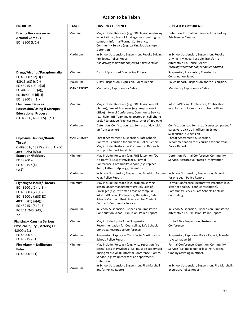#### **Action to be Taken**

| <b>PROBLEM</b>                                                                                                                                           | <b>RANGE</b>     | <b>FIRST OCCURRENCE</b>                                                                                                                                                                                                                                                 | <b>REPEATED OCCURENCE</b>                                                                                                                                            |
|----------------------------------------------------------------------------------------------------------------------------------------------------------|------------------|-------------------------------------------------------------------------------------------------------------------------------------------------------------------------------------------------------------------------------------------------------------------------|----------------------------------------------------------------------------------------------------------------------------------------------------------------------|
| Driving Reckless on or<br><b>Around Campus</b><br>EC 48900 {k(1)}                                                                                        | Minimum          | May include: Re-teach (e.g. PBIS lesson on driving<br>expectations), Loss of Privileges (e.g. parking on<br>campus), Informal/Formal Conference,<br>Community Service (e.g. parking lot clean up)<br>Detention                                                          | Detention, Formal Conference, Loss Parking<br>Privilege on Campus                                                                                                    |
|                                                                                                                                                          | Maximum          | In School Suspension, Suspension, Revoke Driving<br>Privileges, Police Report<br>*All driving violations subject to police citation                                                                                                                                     | In School Suspension, Suspension, Revoke<br>Driving Privileges, Possible Transfer to<br>Alternative Ed, Police Report<br>*Driving violations subject police citation |
| Drugs/Alcohol/Paraphernalia<br>EC 48900 c $(c(1))$ EC                                                                                                    | Minimum          | District Sponsored Counseling Program                                                                                                                                                                                                                                   | Suspension, Involuntary Transfer to<br><b>Continuation School</b>                                                                                                    |
| 48915 a(3) {c(2)}                                                                                                                                        | Maximum          | 5 Day Suspension, Expulsion, Police Report                                                                                                                                                                                                                              | Police Report, Suspension and/or Expulsion.                                                                                                                          |
| EC 48915 c(3) $(c(3))$<br>EC 48900 p $(c(4))$ ,<br>EC 48900 d {d(1)}<br>EC 48900 j {j(1)}                                                                | <b>MANDATORY</b> | Mandatory Expulsion for Sales                                                                                                                                                                                                                                           | Mandatory Expulsion for Sales                                                                                                                                        |
| <b>Electronic Devices</b><br><b>Possession/Using if Disrupts</b><br><b>Educational Process</b><br>(EC 48900, 48901.5) {o(1)}                             | Minimum          | May include: Re-teach (e.g. PBIS lesson on cell<br>phones), Loss of Privileges (e.g. keep phone in<br>office) Informal Conference, Community Service<br>(e.g. help PBIS Team make posters on cell phone<br>use), Restorative Practices (e.g. letter of apology)         | Informal/Formal Conference, Confiscation<br>(e.g. for rest of week pick up from office)                                                                              |
|                                                                                                                                                          | Maximum          | Detention, Confiscation (e.g. for rest of day, pick<br>up from teacher)                                                                                                                                                                                                 | Confiscation (e.g. for rest of semester, parent /<br>caregivers pick up in office), In School<br>Suspension, Suspension                                              |
| <b>Explosive Devices/Bomb</b><br>Threat<br>C 48900 b, 48915 a(2) {b(1)} EC<br>48915 c(5) {b(4)}                                                          | <b>MANDATORY</b> | Threat Assessment, Suspension, Safe Schools<br>Contract, Expulsion for one year, Police Report.<br>May include: Restorative Conference, Re-teach<br>(e.g. problem solving skills).                                                                                      | Threat Assessment, Suspension,<br>Recommendation for Expulsion for one year,<br>Police Report                                                                        |
| <b>Extortion/Robbery</b><br>EC 48900 e<br>EC 48915 a(4)<br>${e(1)}$                                                                                      | Minimum          | May include: Re-teach (e.g. PBIS lesson on "Do<br>No Harm"), Loss of Privileges, Formal<br>Conference, Community Service (e.g. replace<br>item), Letter of Apology, Detention                                                                                           | Detention, Formal Conference, Community<br>Service, Restorative Practice Intervention                                                                                |
|                                                                                                                                                          | Maximum          | In School Suspension, Suspension, Expulsion for one<br>year, Police Report                                                                                                                                                                                              | In School Suspension, Suspension, Expulsion<br>for one year, Police Report                                                                                           |
| <b>Fighting/Assault/Threats</b><br>EC 48900 a(1) $\{a(1)\}$<br>EC 48900 a(2) {a(2)}<br>EC 48900 s {a(3)} EC<br>48915 a(1) {a(4)}<br>EC 48915 a(5) {a(5)} | Minimum          | May include: Re-teach (e.g. problem solving<br>lesson, anger management group), Loss of<br>Privileges (e.g. restricted areas of campus),<br>Informal/Formal Conference, Detention, Safe<br>Schools Contract, Rest. Practices, No Contact<br>Contract, Community Service | Formal Conference, Restorative Practices (e.g.<br>letter of apology, conflict resolution),<br>Community Service, Safe Schools Contract,<br>Counseling                |
| PC 241, 243, 245,<br>22                                                                                                                                  | Maximum          | In School Suspension, Suspension, Transfer to<br>Continuation School, Expulsion, Police Report                                                                                                                                                                          | In School Suspension, Suspension, Transfer to<br>Alternative Ed, Expulsion, Police Report                                                                            |
| <b>Fighting - Causing Serious</b><br>Physical Injury (Battery) EC<br>48900 a (1)                                                                         | Minimum          | May include: Up to 3 day Suspension,<br>Recommendation for Counseling, Safe Schools<br>Contract, Restorative Conference                                                                                                                                                 | Up to 5 Day Suspension, Restorative<br>Conference                                                                                                                    |
| EC 48900 a (2)<br>EC 48915 a (1)                                                                                                                         | Maximum          | Suspension, Expulsion, Transfer to Continuation<br>School, Police Report                                                                                                                                                                                                | Suspension, Expulsion, Police Report, Transfer<br>to Alternative Ed                                                                                                  |
| Fire Alarm - Deliberate<br>False<br>EC 48900 k (1)                                                                                                       | Minimum          | May include: Re-teach (e.g. write report on fire<br>safety) Loss of Privileges (e.g. must be supervised<br>during transitions), Informal Conference, Comm.<br>Service (e.g. volunteer for fire department),<br>Detention                                                | Formal Conference, Detention, Community<br>Service (e.g. make up for lost instructional<br>time by assisting in office).                                             |
|                                                                                                                                                          | Maximum          | In School Suspension, Suspension, Fire Marshall<br>and/or Police Report                                                                                                                                                                                                 | In School Suspension, Suspension, Fire Marshall,<br><b>Expulsion, Police Report</b>                                                                                  |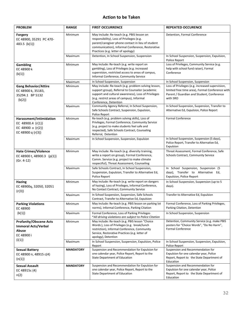#### **Action to be Taken**

| <b>PROBLEM</b>                                                                             | <b>RANGE</b>     | <b>FIRST OCCURRENCE</b>                                                                                                                                                                                                                | <b>REPEATED OCCURENCE</b>                                                                                                                                   |
|--------------------------------------------------------------------------------------------|------------------|----------------------------------------------------------------------------------------------------------------------------------------------------------------------------------------------------------------------------------------|-------------------------------------------------------------------------------------------------------------------------------------------------------------|
| Forgery<br>EC 48900. 35291 PC 470-<br>483.5 {k(1)}                                         | Minimum          | May include: Re-teach (e.g. PBIS lesson on<br>responsibility), Loss of Privileges (e.g.<br>parent/caregiver phone contact in lieu of student<br>communication), Informal Conference, Restorative<br>Practices (e.g. letter of apology) | Detention, Formal Conference                                                                                                                                |
|                                                                                            | Maximum          | Detention, In School Suspension, Suspension                                                                                                                                                                                            | In School Suspension, Suspension, Expulsion,<br>Police Report                                                                                               |
| <b>Gambling</b><br>EC 48900 k<br>$\{k(1)\}$                                                | Minimum          | May include: Re-teach (e.g. write report on<br>gambling), Loss of Privileges (e.g. increased<br>supervision, restricted access to areas of campus,<br>Informal Conference, Community Service                                           | Loss of Privileges, Community Service (e.g.<br>help with school fund raiser), Formal<br>Conference                                                          |
|                                                                                            | Maximum          | In School Suspension, Suspension                                                                                                                                                                                                       | In School Suspension, Suspension                                                                                                                            |
| <b>Gang Behavior/Attire</b><br>EC 48900 k, 35183,<br>35294.1 BP 5132<br>${k(2)}$           | Minimum          | May include: Re-teach (e.g. problem solving lesson,<br>support group), Referral to Counselor (academic<br>support and cultural awareness), Loss of Privileges<br>(e.g. restrict areas of campus), Informal<br>Conference, Detention    | Loss of Privileges (e.g. increased supervision,<br>limited free time area), Formal Conference with<br>Parent / Guardian and Student, Conference<br>with SRO |
|                                                                                            | Maximum          | Community Agency Referral, In School Suspension,<br>Safe Schools Contract, Suspension, Expulsion,<br>Police Report                                                                                                                     | In School Suspension, Suspension, Transfer to<br>Alternative Ed, Expulsion, Police Report                                                                   |
| Harassment/Intimidation<br>EC 48900.4 {r(1)}<br>EC 48900 o {r(2)}<br>EC 48900 q $\{r(3)\}$ | Minimum          | Re-teach (e.g. problem solving skills), Loss of<br>Privileges, Formal Conference, Community Service<br>(e.g. project to make students feel safe and<br>respected), Safe Schools Contract, Counseling<br>Referral, Detention            | <b>Formal Conference</b>                                                                                                                                    |
|                                                                                            | Maximum          | In School Suspension, Suspension, Expulsion                                                                                                                                                                                            | In School Suspension, Suspension (5 days),<br>Police Report, Transfer to Alternative Ed,<br>Expulsion                                                       |
| <b>Hate Crimes/Violence</b><br>EC 48900 t, 48900.3 {p(1)}<br>(Gr. 4-12)                    | Minimum          | May include: Re-teach (e.g. diversity training,<br>write a report on group), Formal Conference,<br>Comm. Service (e.g. project to make climate<br>respectful), Threat Assessment, Counseling                                           | Threat Assessment, Formal Conference, Safe<br>Schools Contract, Community Service                                                                           |
|                                                                                            | Maximum          | Safe Schools Contract, In School Suspension,<br>Suspension, Expulsion, Transfer to Alternative Ed,<br>Police Report                                                                                                                    | In School Suspension, Suspension (5<br>days), Transfer to Alternative Ed,<br><b>Expulsion, Police Report</b>                                                |
| <b>Hazing</b><br>EC 48900q, 32050, 32051<br>${r(3)}$                                       | Minimum          | May include: Re-teach (e.g. write report on dangers<br>of hazing), Loss of Privileges, Informal Conference,<br>No Contact Contract, Community Service                                                                                  | In School Suspension, Suspension (up to 5<br>days).                                                                                                         |
|                                                                                            | Maximum          | In School Suspension, Suspension, Safe Schools<br>Contract, Transfer to Alternative Ed, Expulsion                                                                                                                                      | Transfer to Alternative Ed, Expulsion                                                                                                                       |
| <b>Parking Violations</b><br>EC 48900                                                      | Minimum          | May include: Re-teach (e.g. PBIS lesson on parking lot<br>norms), Informal Conference, Parking Citation                                                                                                                                | Formal Conference, Loss of Parking Privileges,<br>Parking Citation, Detention                                                                               |
| ${k(1)}$                                                                                   | Maximum          | Formal Conference, Loss of Parking Privileges<br>*All driving violations are subject to Police Citation                                                                                                                                | In School Suspension, Suspension                                                                                                                            |
| <b>Profanity/Obscene Acts</b><br><b>Immoral Acts/Verbal</b><br>Abuse<br>EC 48900 i         | Minimum          | May include: Re-teach (e.g. PBIS lesson "Choice<br>Words:), Loss of Privileges (e.g. break/lunch<br>restriction), Informal Conference, Community<br>Service, Restorative Practices (e.g. letter of<br>apology), Detention              | Detention, Community Service (e.g. make PBIS<br>posters for "Choice Words", "Do No Harm",<br><b>Formal Conference</b>                                       |
| $\{i(1)\}$                                                                                 | Maximum          | In School Suspension, Suspension, Expulsion, Police<br>Report                                                                                                                                                                          | In School Suspension, Suspension, Expulsion,<br>Police Report                                                                                               |
| <b>Sexual Battery</b><br>EC 48900 n, 48915 c(4)<br>${n(1)}$                                | <b>MANDATORY</b> | Suspension and Recommendation for Expulsion for<br>one calendar year, Police Report, Report to the<br><b>State Department of Education</b>                                                                                             | Suspension and Recommendation for<br>Expulsion for one calendar year, Police<br>Report, Report to the State Department of<br>Education                      |
| Sexual Assault<br>EC 48915c (4)<br>n(2)                                                    | <b>MANDATORY</b> | Suspension and Recommendation for Expulsion for<br>one calendar year, Police Report, Report to the<br><b>State Department of Education</b>                                                                                             | Suspension and Recommendation for<br>Expulsion for one calendar year, Police<br>Report, Report to the State Department of<br>Education                      |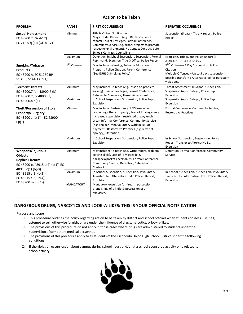#### **Action to be Taken**

| <b>PROBLEM</b>                                                                                                                                                                                       | <b>RANGE</b>            | <b>FIRST OCCURRENCE</b>                                                                                                                                                                                                                                                                                                          | <b>REPEATED OCCURENCE</b>                                                                                                                                                            |
|------------------------------------------------------------------------------------------------------------------------------------------------------------------------------------------------------|-------------------------|----------------------------------------------------------------------------------------------------------------------------------------------------------------------------------------------------------------------------------------------------------------------------------------------------------------------------------|--------------------------------------------------------------------------------------------------------------------------------------------------------------------------------------|
| <b>Sexual Harassment</b><br>EC 48900.2 (Gr 4-12)<br>EC 212.5 q (1)} (Gr. 4-12)                                                                                                                       | Minimum                 | <b>Title IX Officer Notification</b><br>May include: Re-teach (e.g. PBIS lesson, write<br>report), Loss of Privileges, Formal Conference,<br>Community Service (e.g. school projects to promote<br>respectful environment), No Contact Contract, Safe<br>Schools Contract, Counseling                                            | Suspension (5 days), Title IX report, Police<br>Report                                                                                                                               |
|                                                                                                                                                                                                      | Maximum                 | Detention, In School Suspension, Suspension, Formal<br>Reprimand, Expulsion, Title IX Officer Police Report                                                                                                                                                                                                                      | Expulsion, Title IX and Police Report (BP<br>& AR 4019.11 a-e & 5145.7)                                                                                                              |
| Smoking/Tobacco<br><b>Products</b><br>EC 48900 h, EC 51260 BP<br>5131.6, 5144.1 ({h(1)}                                                                                                              | 1 <sup>st</sup> Offense | May include: Warning, Tobacco Education<br>Program, Police Citation, Parent Conference<br>(See EUHSD Smoking Policy)                                                                                                                                                                                                             | 2 <sup>nd</sup> Offense - 1 Day Suspension. Police<br>Citation.<br>Multiple Offenses - Up to 5 days suspension,<br>possible transfer to Alternative Ed for persistent<br>violations. |
| <b>Terrorist Threats</b><br>EC 48900.7 (a), 48900.7 (b)<br>EC 48900.2, EC48900.3,<br>EC 48900.4 t (1)                                                                                                | Minimum                 | May include: Re-teach (e.g. lesson on problem<br>solving), Loss of Privileges, Formal Conference,<br>Referral to Counselor, Threat Assessment                                                                                                                                                                                    | Threat Assessment, In School Suspension,<br>Suspension (up to 5 days), Police Report,<br>Expulsion                                                                                   |
|                                                                                                                                                                                                      | Maximum                 | In School Suspension, Suspension, Police Report,<br>Expulsion                                                                                                                                                                                                                                                                    | Suspension (up to 5 days), Police Report,<br>Expulsion                                                                                                                               |
| <b>Theft/Possession of Stolen</b><br><b>Property/Burglary</b><br>EC 48900 g {g(1)} EC 48900<br>$  \{  (1)$                                                                                           | Minimum                 | May include: Re-teach (e.g. PBIS lesson on<br>respecting others property), Loss of Privileges (e.g.<br>increased supervision, restricted break/lunch<br>area), Informal Conference, Community Service<br>(e.g. replace item, voluntary work in lieu of<br>payment), Restorative Practices (e.g. letter of<br>apology), Detention | Formal Conference, Community Service,<br><b>Restorative Practices</b>                                                                                                                |
|                                                                                                                                                                                                      | Maximum                 | In School Suspension, Suspension, Police Report,<br>Expulsion                                                                                                                                                                                                                                                                    | In School Suspension, Suspension, Police<br>Report, Transfer to Alternative Ed,<br>Expulsion                                                                                         |
| <b>Weapons/Injurious</b><br><b>Objects</b><br><b>Replica Firearm</b><br>EC 48900 b, 48915 a(2) {b(1)} EC<br>48915 c(1) {b(2)}<br>EC 48915 c(2) {b(3)}<br>EC 48915 c(5) ${b(4)}$<br>EC 48900 m {m(1)} | Minimum                 | May include: Re-teach (e.g. write report, problem<br>solving skills), Loss of Privileges (e.g.<br>backpack/pocket check daily), Formal Conference,<br>Community Service, Detention, Safe Schools<br>Contract                                                                                                                     | Detention, Formal Conference, Community<br>Service                                                                                                                                   |
|                                                                                                                                                                                                      | Maximum                 | In School Suspension, Suspension, Involuntary<br>Transfer to Alternative Ed, Police Report,<br>Expulsion                                                                                                                                                                                                                         | In School Suspension, Suspension, Involuntary<br>Transfer to Alternative Ed, Police Report,<br>Expulsion                                                                             |
|                                                                                                                                                                                                      | <b>MANDATORY</b>        | Mandatory expulsion for firearm possession,<br>brandishing of a knife & possession of an<br>explosive.                                                                                                                                                                                                                           |                                                                                                                                                                                      |

#### **DANGEROUS DRUGS, NARCOTICS AND LOOK-A-LIKES: THIS IS YOUR OFFICIAL NOTIFICATION**

Purpose and scope

- ❑ This procedure outlines the policy regarding action to be taken by district and school officials when students possess, use,sell, attempt to sell, otherwise furnish, or are under the influence of drugs, narcotics, orlook-a-likes.
- ❑ The provisions of this procedure do not apply in those cases where drugs are administered to students under the supervision of competent medical personnel.
- ❑ The provisions of this procedure apply to all students of the Escondido Union High School District under the following conditions:
- ❑ If the violation occurs on/or about campus during school hours and/or at a school sponsored activity or is related to schoolactivity.

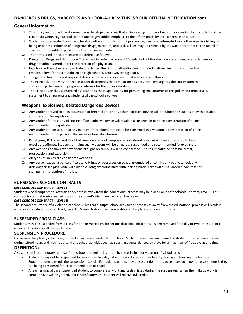#### **DANGEROUS DRUGS, NARCOTICS AND LOOK-A-LIKES: THIS IS YOUR OFFICIAL NOTIFICATION cont…**

#### **General Information**

- ❑ This policy and procedure statement was developed as a result of an increasing number of narcotics cases involving students of the Escondido Union High School District and to give added emphasis to the efforts made by local citizens in this matter.
- ❑ Students apprehended by eitherschool or police authoritiesfor the possession, use,sale, attempted sale, otherwise furnishing, or being under the influence of dangerous drugs, narcotics, and look-a-likes may be referred by the Superintendent to the Board of Trustees for possible expulsion or other recommendedaction.
- ❑ The terms used in this procedure are defined asfollows:
- ❑ Dangerous Drugs and Narcotics These shall include marijuana, LSD, volatile barbiturates, amphetamines, or any dangerous drug not administered under the direction of a physician.
- ❑ Expulsion The act whereby a student is denied the right of attending any of the educational institutions under the responsibility of the Escondido Union High School District Governing Board.
- ❑ The general functions and responsibilities of the various organizational levels are as follows:
- ❑ The Principal, or duly authorized assistant determinesthat a violation has occurred, investigates the circumstances surrounding the case and prepares materials for the Superintendent.
- ❑ The Principal, or duly authorized assistant has the responsibility for presenting the contents of this policy and procedures statement to all parents and students of the school each year.

#### **Weapons, Explosives, Related Dangerous Devices**

- ❑ Any student proved to be in possession of firecrackers, or any other explosive device will be subject to suspension with possible consideration for expulsion.
- ❑ Any student found guilty ofsetting off an explosive device will result in a suspension pending consideration of being recommended forexpulsion.
- ❑ Any student in possession of any instrument or object that could be construed as a weapon is consideration of being recommended for expulsion. This includes look alike firearms.
- ❑ Pellet guns, B.B. guns and Paint Ball guns on a school campus are considered firearms and are considered to be an expellable offense. Students bringing such weapons will be arrested, suspended and recommended forexpulsion.
- ❑ Any weapons or simulated weapons brought on campus will be confiscated. The result could be possible arrest, prosecution, and expulsion.
- ❑ All types of knives are consideredweapons.
- ❑ Any person except a police officer, who brings or possesses on school grounds, of or within, any public school, any dirk, dagger, ice pick, knife with blade 2'' long or folding knife with locking-blade, razor with unguarded blade, taser or stun gun is in violation of the law.

#### **EUHSD SAFE SCHOOL CONTRACTS**

#### **SAFE SCHOOLS CONTRACT – LEVEL I**

Students who disrupt school activities and/or take away from the educational process may be placed on a Safe Schools Contract, Level I. This contract is comprehensive and will stay in the student's discipline file for all four years.

#### **SAFE SCHOOLS CONTRACT – LEVEL II**

The second occurrence of a violation of school rules that disrupts school activities and/or takes away from the educational process will result in issuance of a Safe Schools Contract, Level II. Administrators may issue additional disciplinary action at this time.

#### **SUSPENDED FROM CLASS**

Students may be suspended from a class for one or more days for serious discipline infractions. When removed for a day or two, the student is expected to make up all the work missed.

#### **SUSPENSION PROCEDURE:**

For serious disciplinary infractions, students may be suspended from school. Such home suspension means the student must remain at home during school hours and may not attend any school activities such as sporting events, dances, or plays for a maximum of five days at any time.

#### **DEFINITION:**

A suspension is a temporary removal from school or regular classroom by the principal for violation of school rules.

- A student may not be suspended for more than five days at a time nor for more than twenty days in a school year, unless the Superintendent extends the suspension. Special Education students may be suspended for up to ten days to allow for assessments if they are being considered for a recommendation to expel.
- A teacher may allow a suspended student to complete all work and tests missed during the suspension. When the makeup work is completed, it will be graded. If it is satisfactory, the student will receive full credit.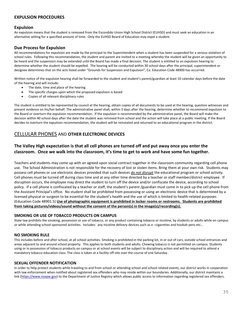#### **EXPULSION PROCEDURES**

#### **Expulsion**

An expulsion means that the student is removed from the Escondido Union High School District (EUHSD) and must seek an education in an alternative setting for a specified amount of time. Only the EUHSD Board of Education may expel a student.

#### **Due Process for Expulsion**

All recommendations for expulsion are made by the principal to the Superintendent when a student has been suspended for a serious violation of school rules. Following this recommendation, the student and parent are invited to a meeting whereby the student will be given an opportunity to be heard and the suspension may be extended until the Board has made a final decision. The student is entitled to an expulsion hearing to determine whether the student should be expelled. The hearing will be conducted within 30 school days after the principal, superintendent or designee determines that on the acts listed under "Grounds for Suspension and Expulsion", Ca. Education Code 48900 has occurred.

Written notice of the expulsion hearing shall be forwarded to the student and student's parent/guardian at least 10 calendar days before the date of the hearing and will include:

- The date, time and place of the hearing
- The specific charges upon which the proposed expulsion is based
- Copies of all relevant disciplinary rules

The student is entitled to be represented by council at the hearing, obtain copies of all documents to be used at the hearing, question witnesses and present evidence on his/her behalf. The administrative panel shall, within 3 days after the hearing, determine whether to recommend expulsion to the Board or overturn the expulsion recommendation. If the expulsion is recommended by the administrative panel, the Board will make the decision within 40 school days after the date the student was removed from school and the action will take place at a public meeting. If the Board decides to overturn the expulsion recommendation, the student will be reinstated and returned to an educational program in the district.

#### CELLULAR PHONES AND **OTHER ELECTRONIC DEVICES**

#### **The Valley High expectation is that all cell phones are turned off and put away once you enter the classroom. Once we walk into the classroom, it's time to get to work and have some fun together.**

Teachers and students may come up with an agreed upon social contract together in the classroom community regarding cell phone use. The School Administration is not responsible for the recovery of lost or stolen items. Bring them at your own risk. Students may possess cell phones or use electronic devices provided that such devices *do not disrupt* the educational program or school activity. Cell phones must be turned off during class time and at any other time directed by a teacher or staff member/district employee. If disruption occurs, the employee may direct the student to turn off the device and/or confiscate the device, according to school policy. If a cell phone is confiscated by a teacher or staff, the student's parent /guardian must come in to pick up the cell phone from the Assistant Principal's office. No student shall be prohibited from possessing or using an electronic device that is determined by a licensed physical or surgeon to be essential for the student's health and the use of which is limited to health-related purposes (Education Code 48901.5) **Use of photographic equipment is prohibited in locker rooms or restrooms. Students are prohibited from taking pictures/videos/sound without the consent of the person(s) in the image(s)/recording(s).** 

#### **SMOKING OR USE OF TOBACCO PRODUCTS ON CAMPUS**

State law prohibits the smoking, possession or use of tobacco, or any product containing tobacco or nicotine, by students or adults while on campus or while attending school sponsored activities. Includes: any nicotine delivery devices such as e –cigarettes and hookah pens etc…

#### **NO SMOKING RULE**

This includes before and after school, at all school activities. Smoking is prohibited in the parking lot, in or out of cars, outside school entrances and areas adjacent to and around school property. This applies to both students and adults. Chewing tobacco is not permitted on campus. Students using or in possession of tobacco products on campus or at school events will be subject to disciplinary action and will be required to attend a mandatory tobacco education class. The class is taken at a facility off-site over the course of one Saturday.

#### **SEXUAL OFFENDER NOTIFICATION**

In order to help protect students while traveling to and from school or attending school and school related events, our district works in cooperation with law enforcement when notified about registered sex offenders who may reside within our boundaries. Additionally, our district maintains a link [\(https://www.nsopw.gov\)](https://www.nsopw.gov/) to the Department of Justice Registry which allows public access to information regarding registered sex offenders.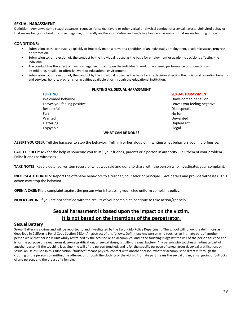#### **SEXUAL HARASSMENT**

Definition: Any unwelcome sexual advances, requests for sexual favors or other verbal or physical conduct of a sexual nature. Uninvited behavior that makes being in school offensive, negative, unfriendly and/or intimidating and leads to a hostile environment that makes learning difficult.

#### **CONDITIONS:**

- Submission to the conduct is explicitly or implicitly made a term or a condition of an individual's employment, academic status, progress, or promotion.
- Submission to, or rejection of, the conduct by the individual is used as the basis for employment or academic decisions affecting the individual.
- The conduct has the effect of having a negative impact upon the individual's work or academic performance or of creating an intimidating, hostile, or offensive work or educational environment.
- Submission to, or rejection of, the conduct by the individual is used as the basis for any decision affecting the individual regarding benefits and services, honors, programs, or activities available at or through the educational institution.

#### **FLIRTING VS. SEXUAL HARASSMENT**

| <b>FLIRTING</b>             | <b>SEXUAL HARASSMENT</b>    |
|-----------------------------|-----------------------------|
| Welcomed behavior           | Unwelcomed behavior         |
| Leaves you feeling positive | Leaves you feeling negative |
| Respectful                  | Disrespectful               |
| <b>Fun</b>                  | No fun                      |
| Wanted                      | Unwanted                    |
| Flattering                  | Unpleasant                  |
| Enjovable                   | <b>Illegal</b>              |
| <b>WHAT CAN BE DONE?</b>    |                             |

**ASSERT YOURSELF:** Tell the harasser to stop the behavior. Tell him or her aloud or in writing what behaviors you find offensive.

**CALL FOR HELP:** Ask for the help of someone you trust - your friends, parents or a person in authority. Tell them of your problem. Enlist friends as witnesses.

**TAKE NOTES:** Keep a detailed, written record of what was said and done to share with the person who investigates your complaint.

**INFORM AUTHORITIES:** Report the offensive behaviors to a teacher, counselor or principal. Give details and provide witnesses. This action may stop the behavior.

**OPEN A CASE:** File a complaint against the person who is harassing you. (See uniform complaint policy.)

**NEVER GIVE IN**: If you are not satisfied with the results of your complaint, continue to take action/get help.

#### **Sexual harassment is based upon the impact on the victim. It is not based on the intentions of the perpetrator.**

#### **Sexual Battery**

Sexual Battery is a crime and will be reported to and investigated by the Escondido Police Department. The school will follow the definitions as described in Californ ia Penal Code Section 243.4. An abstract of this follows. Definition: Any person who touches an intimate part of another person while that person is unlawfully restrained by the accused or an accomplice, and if the touching is against the will of the person touched and is for the purpose of sexual arousal, sexual gratification, or sexual abuse, is guilty of sexual battery. Any person who touches an intimate part of another person, if the touching is against the will of the person touched, and is for the specific purpose of sexual arousal, sexual gratification, or sexual abuse as used in this subdivision, "touches" means physical contact with another person, whether accomplished directly, through the clothing of the person committing the offense, or through the clothing of the victim. Intimate part means the sexual organ, anus, groin, or buttocks of any person, and the breast of a female.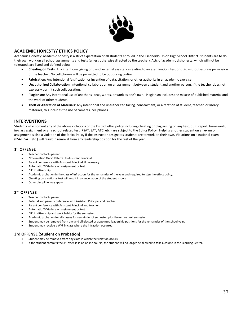

#### **ACADEMIC HONESTY/ ETHICS POLICY**

Academic Honesty: Academic honesty is a strict expectation of all students enrolled in the Escondido Union High School District. Students are to do their own work on all school assignments and tests (unless otherwise directed by the teacher). Acts of academic dishonesty, which will not be tolerated, are listed and defined below:

- **Cheating on Tests**: Any intentional giving or use of external assistance relating to an examination, test or quiz, without express permission of the teacher. No cell phones will be permitted to be out during testing.
- **Fabrication**: Any intentional falsification or invention of data, citation, or other authority in an academic exercise.
- **Unauthorized Collaboration**: Intentional collaboration on an assignment between a student and another person, if the teacher does not expressly permit such collaboration.
- **Plagiarism**: Any intentional use of another's ideas, words, or work as one's own. Plagiarism includes the misuse of published material and the work of other students.
- **Theft or Alteration of Materials**: Any intentional and unauthorized taking, concealment, or alteration of student, teacher, or library materials, this includes the use of cameras, cell phones.

#### **INTERVENTIONS**

Students who commit any of the above violations of the District ethic policy including cheating or plagiarizing on any test, quiz, report, homework, in-class assignment or any school related test (PSAT, SAT, ATC, etc.) are subject to the Ethics Policy. Helping another student on an exam or assignment is also a violation of the Ethics Policy if the instructor designates students are to work on their own. Violations on a national exam (PSAT, SAT, etc.) will result in removal from any leadership position for the rest of the year.

#### **1 st OFFENSE**

- Teacher contacts parent.
- "Information Only" Referral to Assistant Principal.
- Parent conference with Assistant Principal, if necessary.
- Automatic "0"/failure on assignment or test.
- "U" in citizenship.
- Academic probation in the class of infraction for the remainder of the year and required to sign the ethics policy.
- Cheating on a national test will result in a cancellation of the student's score.
- Other discipline may apply.

#### **2 nd OFFENSE**

- Teacher contacts parent.
- Referral and parent conference with Assistant Principal and teacher.
- Parent conference with Assistant Principal and teacher.
- Automatic "0"/failure on assignment or test.
- "U" in citizenship and work habits for the semester.
- Academic probation for all classes for remainder of semester, plus the entire next semester.
- Student may be removed from any and all elected or appointed leadership positions for the remainder of the school year.
- Student may receive a W/F in class where the infraction occurred.

#### **3rd OFFENSE (Student on Probation):**

- Student may be removed from any class in which the violation occurs.
- If the student commits the 3<sup>rd</sup> offense in an online course, the student will no longer be allowed to take a course in the Learning Center.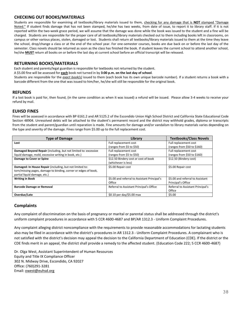#### **CHECKING OUT BOOKS/MATERIALS**

Students are responsible for examining all textbooks/library materials issued to them, checking for any damage that is **NOT** stamped "Damage Noted." If student finds damage that has not been stamped, he/she has two weeks, from date of issue, to report it to library staff. If it is not reported within the two-week grace period, we will assume that the damage was done while the book was issued to the student and a fine will be charged. Students are responsible for the proper care of all textbooks/library materials checked out to them including books left in classrooms, on campus or other various places, stolen, damaged or lost. Students shall return all textbooks/library materials issued to them at the time they leave the school, drop/change a class or at the end of the school year. For one-semester courses, books are due back on or before the last day of the semester. Class novels should be returned as soon as the class has finished the book. If student leaves the current school to attend another school, he/she **MUST** return all books on or before the last day at current school before an official transcript will be released.

#### **RETURNING BOOKS/MATERIALS**

Each student and parents/legal guardian is responsible for textbooks not returned by the student.

A \$5.00 fine will be assessed for **each** book not turned in by **3:00 p.m. on the last day of school**.

Students are responsible for the *exact book(s)* issued to them (each book has its own unique barcode number). If a student returns a book with a barcode different from the one that was issued to him/her, he/she will still be responsible for the original book.

#### **REFUNDS**

If a lost book is paid for, then found, (in the same condition as when it was issued) a refund will be issued. Please allow 3-4 weeks to receive your refund by mail.

#### **EUHSD FINES**

Fines will be assessed in accordance with BP 6161.2 and AR 5125.2 of the Escondido Union High School District and California State Educational Code Section 48904. Unresolved debts will be attached to the student's permanent record and the district may withhold grades, diploma or transcripts from the student and parent/guardian until reparation is made. Fine amounts for damage and/or vandalism to library materials varies depending on the type and severity of the damage. Fines range from \$5.00 up to the full replacement cost.

| <b>Type of Damage</b>                                           | Library                                      | <b>Textbooks/Class Novels</b>     |
|-----------------------------------------------------------------|----------------------------------------------|-----------------------------------|
| Lost                                                            | Full replacement cost                        | Full replacement cost             |
|                                                                 | (ranges from \$5 to \$50)                    | (ranges from \$50 to \$160)       |
| Damaged Beyond Repair (including, but not limited to: excessive | Full replacement cost                        | Full replacement cost             |
| liquid damage, mold, excessive writing in book, etc.)           | (ranges from \$5 to \$50)                    | (ranges from \$50 to \$160)       |
| Damage to Cover or Spine                                        | \$12.50 Bindery cost or cost of book         | \$12.50 (Bindery cost)            |
|                                                                 | (whichever is less)                          |                                   |
| Damaged: In House Repair (including, but not limited to:        | \$5.00 Repair cost                           | \$5.00 Repair cost                |
| torn/missing pages, damage to binding, corner or edges of book, |                                              |                                   |
| partial liquid damage, etc.)                                    |                                              |                                   |
| <b>Writing in Book</b>                                          | \$5.00 and referral to Assistant Principal's | \$5.00 and referral to Assistant  |
|                                                                 | Office                                       | Principal's Office                |
| <b>Barcode Damage or Removal</b>                                | Referral to Assistant Principal's Office     | Referral to Assistant Principal's |
|                                                                 |                                              | Office                            |
| Overdue/Late                                                    | $$0.10$ per day/\$5.00 max                   | \$5.00                            |

#### **Complaints**

Any complaint of discrimination on the basis of pregnancy or marital or parental status shall be addressed through the district's uniform complaint procedures in accordance with 5 CCR 4600-4687 and BP/AR 1312.3 - Uniform Complaint Procedures.

Any complaint alleging district noncompliance with the requirements to provide reasonable accommodations for lactating students also may be filed in accordance with the district's procedures in AR 1312.3 - Uniform Complaint Procedures. A complainant who is not satisfied with the district's decision may appeal the decision to the California Department of Education (CDE). If the district or the CDE finds merit in an appeal, the district shall provide a remedy to the affected student. (Education Code 222; 5 CCR 4600-4687)

Dr. Olga West, Assistant Superintendent of Human Resources Equity and Title IX Compliance Officer 302 N. Midway Drive, Escondido, CA 92027 Office: (760)291-3281 Email: [owest@euhsd.org](mailto:owest@euhsd.org)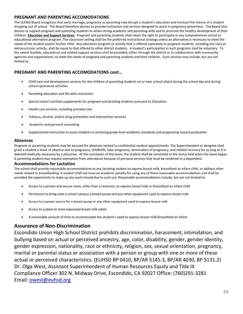#### **PREGNANT AND PARENTING ACCOMODATIONS**

The EUHSD Board recognizes that early marriage, pregnancy or parenting may disrupt a student's education and increase the chance of a student dropping out of school. The Board therefore desires to provide instruction and services designed to assist in pregnancy prevention. The Board also desires to support pregnant and parenting students to attain strong academic and parenting skills and to promote the healthy development of their children. **Education and Support Services:** Pregnant and parenting students shall retain the right to participate in any comprehensive school or educational alternative program. The classroom setting shall be the preferred instructional strategy unless an alternative is necessary to meet the needs of the student and/or his/her child. Any education program or activity that is offered separately to pregnant students, including any class or extracurricular activity, shall be equal to that offered to other district students. A student's participation in such programs shall be voluntary. To the extent feasible, educational and related support services shall be provided, either through the district or in collaboration with community agencies and organizations, to meet the needs of pregnant and parenting students and their children. Such services may include, but are not limited to:

#### **PREGNANT AND PARENTING ACCOMODATIONS cont…**

- Child care and development services for the children of parenting students on or near school site(s) during the school day and during school-sponsored activities
- Parenting education and life skills instruction
- Special school nutrition supplements for pregnant and lactating students pursuant to Education
- Health care services, including prenatal care
- Tobacco, alcohol, and/or drug prevention and intervention services
- Academic and personal counseling
- Supplemental instruction to assist students in achieving grade-level academic standards and progressing toward graduation

#### **Absences**

Pregnant or parenting students may be excused for absences related to confidential medical appointments. The Superintendent or designee shall grant a student a leave of absence due to pregnancy, childbirth, false pregnancy, termination of pregnancy, and related recovery for as long as it is deemed medically necessary by a physician. At the conclusion of the leave, the student shall be reinstated to the status held when the leave began. A parenting student may request exemption from attendance because of personal services that must be rendered to a dependent.

#### **Accommodations for Lactation**

The school shall provide reasonable accommodations to any lactating student to express breast milk, breastfeed an infant child, or address other needs related to breastfeeding. A student shall not incur an academic penalty for using any of these reasonable accommodations and shall be provided the opportunity to make up any work missed due to such use. Reasonable accommodations include, but are not limited to:

- Access to a private and secure room, other than a restroom, to express breast milk or breastfeed an infant child
- Permission to bring onto a school campus a breast pump and any other equipment used to express breast milk
- Access to a power source for a breast pump or any other equipment used to express breast milk
- Access to a place to store expressed breast milk safely
- A reasonable amount of time to accommodate the student's need to express breast milk/breastfeed an infant

#### **Assurance of Non-Discrimination**

Escondido Union High School District prohibits discrimination, harassment, intimidation, and bullying based on actual or perceived ancestry, age, color, disability, gender, gender identity, gender expression, nationality, race or ethnicity, religion, sex, sexual orientation, pregnancy, marital or parental status or association with a person or group with one or more of these actual or perceived characteristics. (EUHSD BP 0410, BP/AR 5145.3, BP/AR 4030, BP 5131.2) Dr. Olga West, Assistant Superintendent of Human Resources Equity and Title IX Compliance Officer 302 N. Midway Drive, Escondido, CA 92027 Office: (760)291-3281 Email: [owest@euhsd.org](mailto:owest@euhsd.org)